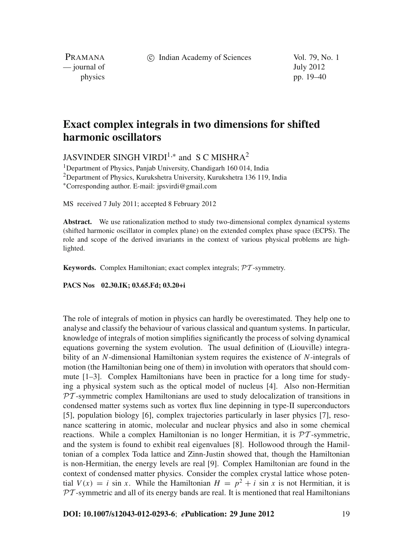c Indian Academy of Sciences Vol. 79, No. 1

PRAMANA — journal of July 2012

physics pp. 19–40

# **Exact complex integrals in two dimensions for shifted harmonic oscillators**

JASVINDER SINGH VIRDI<sup>1,\*</sup> and S C MISHRA<sup>2</sup>

<sup>1</sup>Department of Physics, Panjab University, Chandigarh 160 014, India <sup>2</sup>Department of Physics, Kurukshetra University, Kurukshetra 136 119, India <sup>∗</sup>Corresponding author. E-mail: jpsvirdi@gmail.com

MS received 7 July 2011; accepted 8 February 2012

**Abstract.** We use rationalization method to study two-dimensional complex dynamical systems (shifted harmonic oscillator in complex plane) on the extended complex phase space (ECPS). The role and scope of the derived invariants in the context of various physical problems are highlighted.

**Keywords.** Complex Hamiltonian; exact complex integrals; PT -symmetry.

**PACS Nos 02.30.IK; 03.65.Fd; 03.20+i**

The role of integrals of motion in physics can hardly be overestimated. They help one to analyse and classify the behaviour of various classical and quantum systems. In particular, knowledge of integrals of motion simplifies significantly the process of solving dynamical equations governing the system evolution. The usual definition of (Liouville) integrability of an *N*-dimensional Hamiltonian system requires the existence of *N*-integrals of motion (the Hamiltonian being one of them) in involution with operators that should commute [1–3]. Complex Hamiltonians have been in practice for a long time for studying a physical system such as the optical model of nucleus [4]. Also non-Hermitian  $PT$ -symmetric complex Hamiltonians are used to study delocalization of transitions in condensed matter systems such as vortex flux line depinning in type-II superconductors [5], population biology [6], complex trajectories particularly in laser physics [7], resonance scattering in atomic, molecular and nuclear physics and also in some chemical reactions. While a complex Hamiltonian is no longer Hermitian, it is  $\mathcal{PT}$ -symmetric, and the system is found to exhibit real eigenvalues [8]. Hollowood through the Hamiltonian of a complex Toda lattice and Zinn-Justin showed that, though the Hamiltonian is non-Hermitian, the energy levels are real [9]. Complex Hamiltonian are found in the context of condensed matter physics. Consider the complex crystal lattice whose potential  $V(x) = i \sin x$ . While the Hamiltonian  $H = p^2 + i \sin x$  is not Hermitian, it is  $PT$ -symmetric and all of its energy bands are real. It is mentioned that real Hamiltonians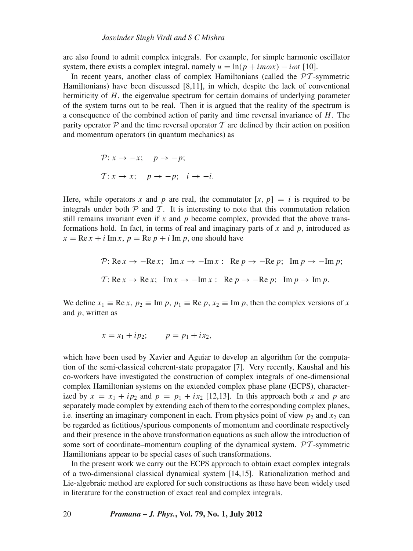are also found to admit complex integrals. For example, for simple harmonic oscillator system, there exists a complex integral, namely  $u = \ln(p + im\omega x) - i\omega t$  [10].

In recent years, another class of complex Hamiltonians (called the  $\mathcal{PT}$ -symmetric Hamiltonians) have been discussed [8,11], in which, despite the lack of conventional hermiticity of *H*, the eigenvalue spectrum for certain domains of underlying parameter of the system turns out to be real. Then it is argued that the reality of the spectrum is a consequence of the combined action of parity and time reversal invariance of *H*. The parity operator  $\mathcal P$  and the time reversal operator  $\mathcal T$  are defined by their action on position and momentum operators (in quantum mechanics) as

$$
\mathcal{P}: x \to -x; \quad p \to -p;
$$
  

$$
\mathcal{T}: x \to x; \quad p \to -p; \quad i \to -i.
$$

Here, while operators x and p are real, the commutator  $[x, p] = i$  is required to be integrals under both  $P$  and  $T$ . It is interesting to note that this commutation relation still remains invariant even if  $x$  and  $p$  become complex, provided that the above transformations hold. In fact, in terms of real and imaginary parts of *x* and *p*, introduced as  $x = \text{Re } x + i \text{Im } x$ ,  $p = \text{Re } p + i \text{Im } p$ , one should have

$$
\mathcal{P}: \text{Re}\,x \to -\text{Re}\,x; \quad \text{Im}\,x \to -\text{Im}\,x; \quad \text{Re}\,p \to -\text{Re}\,p; \quad \text{Im}\,p \to -\text{Im}\,p;
$$
\n
$$
\mathcal{T}: \text{Re}\,x \to \text{Re}\,x; \quad \text{Im}\,x \to -\text{Im}\,x; \quad \text{Re}\,p \to -\text{Re}\,p; \quad \text{Im}\,p \to \text{Im}\,p.
$$

We define  $x_1 \equiv \text{Re } x$ ,  $p_2 \equiv \text{Im } p$ ,  $p_1 \equiv \text{Re } p$ ,  $x_2 \equiv \text{Im } p$ , then the complex versions of x and *p*, written as

$$
x = x_1 + ip_2;
$$
  $p = p_1 + ix_2,$ 

which have been used by Xavier and Aguiar to develop an algorithm for the computation of the semi-classical coherent-state propagator [7]. Very recently, Kaushal and his co-workers have investigated the construction of complex integrals of one-dimensional complex Hamiltonian systems on the extended complex phase plane (ECPS), characterized by  $x = x_1 + ip_2$  and  $p = p_1 + ix_2$  [12,13]. In this approach both x and p are separately made complex by extending each of them to the corresponding complex planes, i.e. inserting an imaginary component in each. From physics point of view  $p_2$  and  $x_2$  can be regarded as fictitious/spurious components of momentum and coordinate respectively and their presence in the above transformation equations as such allow the introduction of some sort of coordinate–momentum coupling of the dynamical system.  $\mathcal{PT}$ -symmetric Hamiltonians appear to be special cases of such transformations.

In the present work we carry out the ECPS approach to obtain exact complex integrals of a two-dimensional classical dynamical system [14,15]. Rationalization method and Lie-algebraic method are explored for such constructions as these have been widely used in literature for the construction of exact real and complex integrals.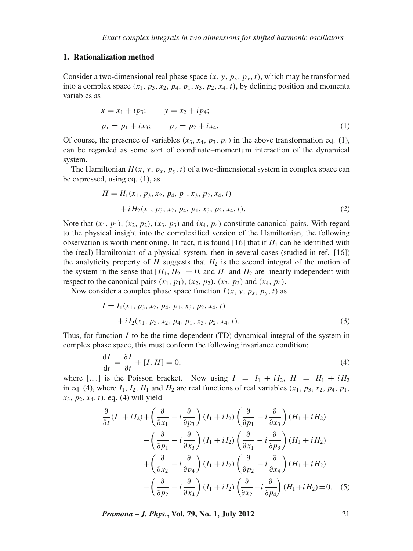## **1. Rationalization method**

Consider a two-dimensional real phase space  $(x, y, p_x, p_y, t)$ , which may be transformed into a complex space  $(x_1, p_3, x_2, p_4, p_1, x_3, p_2, x_4, t)$ , by defining position and momenta variables as

$$
x = x_1 + ip_3; \t y = x_2 + ip_4; p_x = p_1 + ix_3; \t p_y = p_2 + ix_4.
$$
 (1)

Of course, the presence of variables  $(x_3, x_4, p_3, p_4)$  in the above transformation eq. (1), can be regarded as some sort of coordinate–momentum interaction of the dynamical system.

The Hamiltonian  $H(x, y, p_x, p_y, t)$  of a two-dimensional system in complex space can be expressed, using eq. (1), as

$$
H = H_1(x_1, p_3, x_2, p_4, p_1, x_3, p_2, x_4, t) + iH_2(x_1, p_3, x_2, p_4, p_1, x_3, p_2, x_4, t).
$$
 (2)

Note that  $(x_1, p_1)$ ,  $(x_2, p_2)$ ,  $(x_3, p_3)$  and  $(x_4, p_4)$  constitute canonical pairs. With regard to the physical insight into the complexified version of the Hamiltonian, the following observation is worth mentioning. In fact, it is found  $[16]$  that if  $H_1$  can be identified with the (real) Hamiltonian of a physical system, then in several cases (studied in ref. [16]) the analyticity property of  $H$  suggests that  $H_2$  is the second integral of the motion of the system in the sense that  $[H_1, H_2] = 0$ , and  $H_1$  and  $H_2$  are linearly independent with respect to the canonical pairs  $(x_1, p_1)$ ,  $(x_2, p_2)$ ,  $(x_3, p_3)$  and  $(x_4, p_4)$ .

Now consider a complex phase space function  $I(x, y, p_x, p_y, t)$  as

$$
I = I_1(x_1, p_3, x_2, p_4, p_1, x_3, p_2, x_4, t) + i I_2(x_1, p_3, x_2, p_4, p_1, x_3, p_2, x_4, t).
$$
 (3)

Thus, for function  $I$  to be the time-dependent (TD) dynamical integral of the system in complex phase space, this must conform the following invariance condition:

$$
\frac{dI}{dt} = \frac{\partial I}{\partial t} + [I, H] = 0,\tag{4}
$$

where [.,.] is the Poisson bracket. Now using  $I = I_1 + iI_2$ ,  $H = H_1 + iH_2$ in eq. (4), where  $I_1$ ,  $I_2$ ,  $H_1$  and  $H_2$  are real functions of real variables  $(x_1, p_3, x_2, p_4, p_1, p_2, p_3, p_4, p_5, p_6, p_7, p_8, p_9, p_9, p_1, p_1, p_2, p_3, p_4, p_6, p_7, p_8, p_9, p_9, p_{10}, p_{11}$ *x*3, *p*2, *x*4, *t*), eq. (4) will yield

$$
\frac{\partial}{\partial t}(I_1 + iI_2) + \left(\frac{\partial}{\partial x_1} - i\frac{\partial}{\partial p_3}\right)(I_1 + iI_2)\left(\frac{\partial}{\partial p_1} - i\frac{\partial}{\partial x_3}\right)(H_1 + iH_2) \n- \left(\frac{\partial}{\partial p_1} - i\frac{\partial}{\partial x_3}\right)(I_1 + iI_2)\left(\frac{\partial}{\partial x_1} - i\frac{\partial}{\partial p_3}\right)(H_1 + iH_2) \n+ \left(\frac{\partial}{\partial x_2} - i\frac{\partial}{\partial p_4}\right)(I_1 + iI_2)\left(\frac{\partial}{\partial p_2} - i\frac{\partial}{\partial x_4}\right)(H_1 + iH_2) \n- \left(\frac{\partial}{\partial p_2} - i\frac{\partial}{\partial x_4}\right)(I_1 + iI_2)\left(\frac{\partial}{\partial x_2} - i\frac{\partial}{\partial p_4}\right)(H_1 + iH_2) = 0.
$$
\n(5)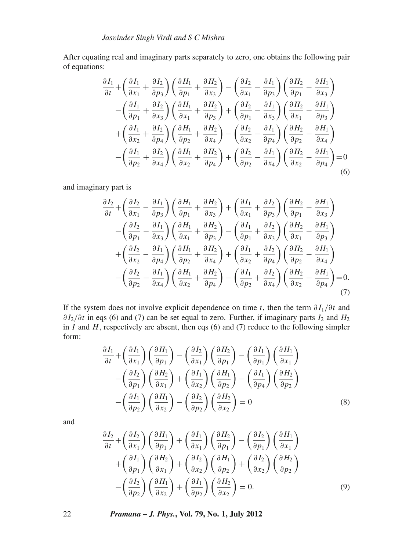After equating real and imaginary parts separately to zero, one obtains the following pair of equations:

$$
\frac{\partial I_1}{\partial t} + \left(\frac{\partial I_1}{\partial x_1} + \frac{\partial I_2}{\partial p_3}\right) \left(\frac{\partial H_1}{\partial p_1} + \frac{\partial H_2}{\partial x_3}\right) - \left(\frac{\partial I_2}{\partial x_1} - \frac{\partial I_1}{\partial p_3}\right) \left(\frac{\partial H_2}{\partial p_1} - \frac{\partial H_1}{\partial x_3}\right) \n- \left(\frac{\partial I_1}{\partial p_1} + \frac{\partial I_2}{\partial x_3}\right) \left(\frac{\partial H_1}{\partial x_1} + \frac{\partial H_2}{\partial p_3}\right) + \left(\frac{\partial I_2}{\partial p_1} - \frac{\partial I_1}{\partial x_3}\right) \left(\frac{\partial H_2}{\partial x_1} - \frac{\partial H_1}{\partial p_3}\right) \n+ \left(\frac{\partial I_1}{\partial x_2} + \frac{\partial I_2}{\partial p_4}\right) \left(\frac{\partial H_1}{\partial p_2} + \frac{\partial H_2}{\partial x_4}\right) - \left(\frac{\partial I_2}{\partial x_2} - \frac{\partial I_1}{\partial p_4}\right) \left(\frac{\partial H_2}{\partial p_2} - \frac{\partial H_1}{\partial x_4}\right) \n- \left(\frac{\partial I_1}{\partial p_2} + \frac{\partial I_2}{\partial x_4}\right) \left(\frac{\partial H_1}{\partial x_2} + \frac{\partial H_2}{\partial p_4}\right) + \left(\frac{\partial I_2}{\partial p_2} - \frac{\partial I_1}{\partial x_4}\right) \left(\frac{\partial H_2}{\partial x_2} - \frac{\partial H_1}{\partial p_4}\right) = 0
$$
\n(6)

and imaginary part is

$$
\frac{\partial I_2}{\partial t} + \left(\frac{\partial I_2}{\partial x_1} - \frac{\partial I_1}{\partial p_3}\right) \left(\frac{\partial H_1}{\partial p_1} + \frac{\partial H_2}{\partial x_3}\right) + \left(\frac{\partial I_1}{\partial x_1} + \frac{\partial I_2}{\partial p_3}\right) \left(\frac{\partial H_2}{\partial p_1} - \frac{\partial H_1}{\partial x_3}\right) \n- \left(\frac{\partial I_2}{\partial p_1} - \frac{\partial I_1}{\partial x_3}\right) \left(\frac{\partial H_1}{\partial x_1} + \frac{\partial H_2}{\partial p_3}\right) - \left(\frac{\partial I_1}{\partial p_1} + \frac{\partial I_2}{\partial x_3}\right) \left(\frac{\partial H_2}{\partial x_1} - \frac{\partial H_1}{\partial p_3}\right) \n+ \left(\frac{\partial I_2}{\partial x_2} - \frac{\partial I_1}{\partial p_4}\right) \left(\frac{\partial H_1}{\partial p_2} + \frac{\partial H_2}{\partial x_4}\right) + \left(\frac{\partial I_1}{\partial x_2} + \frac{\partial I_2}{\partial p_4}\right) \left(\frac{\partial H_2}{\partial p_2} - \frac{\partial H_1}{\partial x_4}\right) \n- \left(\frac{\partial I_2}{\partial p_2} - \frac{\partial I_1}{\partial x_4}\right) \left(\frac{\partial H_1}{\partial x_2} + \frac{\partial H_2}{\partial p_4}\right) - \left(\frac{\partial I_1}{\partial p_2} + \frac{\partial I_2}{\partial x_4}\right) \left(\frac{\partial H_2}{\partial x_2} - \frac{\partial H_1}{\partial p_4}\right) = 0.
$$
\n(7)

If the system does not involve explicit dependence on time *t*, then the term  $\partial I_1/\partial t$  and ∂ *I*2/∂*t* in eqs (6) and (7) can be set equal to zero. Further, if imaginary parts *I*<sup>2</sup> and *H*<sup>2</sup> in  $I$  and  $H$ , respectively are absent, then eqs (6) and (7) reduce to the following simpler form:

$$
\frac{\partial I_1}{\partial t} + \left(\frac{\partial I_1}{\partial x_1}\right) \left(\frac{\partial H_1}{\partial p_1}\right) - \left(\frac{\partial I_2}{\partial x_1}\right) \left(\frac{\partial H_2}{\partial p_1}\right) - \left(\frac{\partial I_1}{\partial p_1}\right) \left(\frac{\partial H_1}{\partial x_1}\right) \n- \left(\frac{\partial I_2}{\partial p_1}\right) \left(\frac{\partial H_2}{\partial x_1}\right) + \left(\frac{\partial I_1}{\partial x_2}\right) \left(\frac{\partial H_1}{\partial p_2}\right) - \left(\frac{\partial I_1}{\partial p_4}\right) \left(\frac{\partial H_2}{\partial p_2}\right) \n- \left(\frac{\partial I_1}{\partial p_2}\right) \left(\frac{\partial H_1}{\partial x_2}\right) - \left(\frac{\partial I_2}{\partial p_2}\right) \left(\frac{\partial H_2}{\partial x_2}\right) = 0
$$
\n(8)

and

$$
\frac{\partial I_2}{\partial t} + \left(\frac{\partial I_2}{\partial x_1}\right) \left(\frac{\partial H_1}{\partial p_1}\right) + \left(\frac{\partial I_1}{\partial x_1}\right) \left(\frac{\partial H_2}{\partial p_1}\right) - \left(\frac{\partial I_2}{\partial p_1}\right) \left(\frac{\partial H_1}{\partial x_1}\right) \n+ \left(\frac{\partial I_1}{\partial p_1}\right) \left(\frac{\partial H_2}{\partial x_1}\right) + \left(\frac{\partial I_2}{\partial x_2}\right) \left(\frac{\partial H_1}{\partial p_2}\right) + \left(\frac{\partial I_2}{\partial x_2}\right) \left(\frac{\partial H_2}{\partial p_2}\right) \n- \left(\frac{\partial I_2}{\partial p_2}\right) \left(\frac{\partial H_1}{\partial x_2}\right) + \left(\frac{\partial I_1}{\partial p_2}\right) \left(\frac{\partial H_2}{\partial x_2}\right) = 0.
$$
\n(9)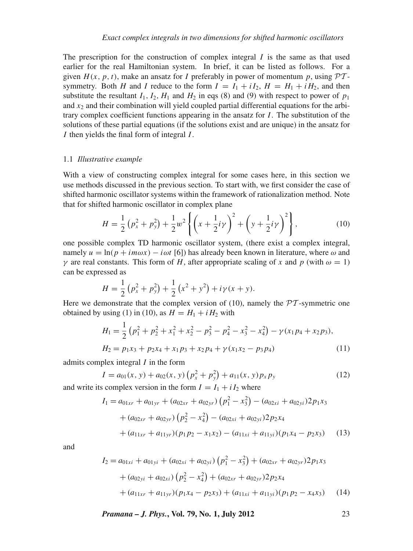The prescription for the construction of complex integral  $I$  is the same as that used earlier for the real Hamiltonian system. In brief, it can be listed as follows. For a given  $H(x, p, t)$ , make an ansatz for *I* preferably in power of momentum *p*, using  $\mathcal{PT}$ symmetry. Both *H* and *I* reduce to the form  $I = I_1 + iI_2$ ,  $H = H_1 + iH_2$ , and then substitute the resultant  $I_1$ ,  $I_2$ ,  $H_1$  and  $H_2$  in eqs (8) and (9) with respect to power of  $p_1$ and  $x_2$  and their combination will yield coupled partial differential equations for the arbitrary complex coefficient functions appearing in the ansatz for *I*. The substitution of the solutions of these partial equations (if the solutions exist and are unique) in the ansatz for *I* then yields the final form of integral *I*.

#### 1.1 *Illustrati*v*e example*

With a view of constructing complex integral for some cases here, in this section we use methods discussed in the previous section. To start with, we first consider the case of shifted harmonic oscillator systems within the framework of rationalization method. Note that for shifted harmonic oscillator in complex plane

$$
H = \frac{1}{2} \left( p_x^2 + p_y^2 \right) + \frac{1}{2} w^2 \left\{ \left( x + \frac{1}{2} i \gamma \right)^2 + \left( y + \frac{1}{2} i \gamma \right)^2 \right\},\tag{10}
$$

one possible complex TD harmonic oscillator system, (there exist a complex integral, namely  $u = \ln(p + im\omega x) - i\omega t$  [6]) has already been known in literature, where  $\omega$  and *γ* are real constants. This form of *H*, after appropriate scaling of *x* and *p* (with  $ω = 1$ ) can be expressed as

$$
H = \frac{1}{2} (p_x^2 + p_y^2) + \frac{1}{2} (x^2 + y^2) + i\gamma (x + y).
$$

Here we demonstrate that the complex version of (10), namely the  $\mathcal{PT}$ -symmetric one obtained by using (1) in (10), as  $H = H_1 + iH_2$  with

$$
H_1 = \frac{1}{2} (p_1^2 + p_2^2 + x_1^2 + x_2^2 - p_3^2 - p_4^2 - x_3^2 - x_4^2) - \gamma (x_1 p_4 + x_2 p_3),
$$
  
\n
$$
H_2 = p_1 x_3 + p_2 x_4 + x_1 p_3 + x_2 p_4 + \gamma (x_1 x_2 - p_3 p_4)
$$
\n(11)

admits complex integral *I* in the form

$$
I = a_{01}(x, y) + a_{02}(x, y) (p_x^2 + p_y^2) + a_{11}(x, y) p_x p_y
$$
\n(12)

and write its complex version in the form  $I = I_1 + iI_2$  where

$$
I_1 = a_{01xr} + a_{01yr} + (a_{02xr} + a_{02yr}) (p_1^2 - x_3^2) - (a_{02xi} + a_{02yi}) 2p_1x_3
$$
  
+  $(a_{02xr} + a_{02yr}) (p_2^2 - x_4^2) - (a_{02xi} + a_{02yi}) 2p_2x_4$   
+  $(a_{11xr} + a_{11yr}) (p_1p_2 - x_1x_2) - (a_{11xi} + a_{11yi}) (p_1x_4 - p_2x_3)$  (13)

and

$$
I_2 = a_{01xi} + a_{01yi} + (a_{02xi} + a_{02yi}) (p_1^2 - x_3^2) + (a_{02xr} + a_{02yr}) 2p_1x_3
$$
  
+  $(a_{02yi} + a_{02xi}) (p_2^2 - x_4^2) + (a_{02xr} + a_{02yr}) 2p_2x_4$   
+  $(a_{11xr} + a_{11yr})(p_1x_4 - p_2x_3) + (a_{11xi} + a_{11yi})(p_1p_2 - x_4x_3)$  (14)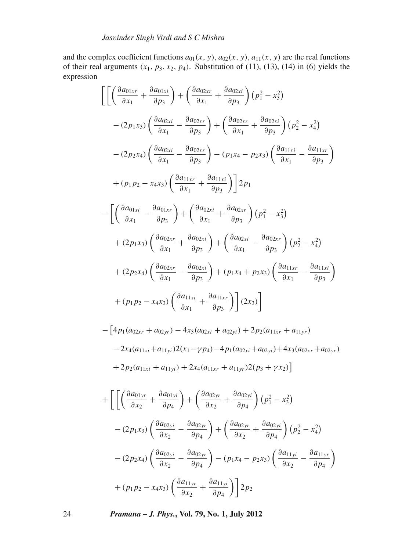and the complex coefficient functions  $a_{01}(x, y)$ ,  $a_{02}(x, y)$ ,  $a_{11}(x, y)$  are the real functions of their real arguments  $(x_1, p_3, x_2, p_4)$ . Substitution of (11), (13), (14) in (6) yields the expression

$$
\begin{split}\n&\left[\left[\left(\frac{\partial a_{01xr}}{\partial x_1} + \frac{\partial a_{01xi}}{\partial p_3}\right) + \left(\frac{\partial a_{02xr}}{\partial x_1} + \frac{\partial a_{02xi}}{\partial p_3}\right)(p_1^2 - x_3^2)\right] \\
&- (2p_1x_3)\left(\frac{\partial a_{02xi}}{\partial x_1} - \frac{\partial a_{02xr}}{\partial p_3}\right) + \left(\frac{\partial a_{02xr}}{\partial x_1} + \frac{\partial a_{02xi}}{\partial p_3}\right)(p_2^2 - x_4^2) \\
&- (2p_2x_4)\left(\frac{\partial a_{02xi}}{\partial x_1} - \frac{\partial a_{02xr}}{\partial p_3}\right) - (p_1x_4 - p_2x_3)\left(\frac{\partial a_{11xr}}{\partial x_1} - \frac{\partial a_{11xr}}{\partial p_3}\right) \\
&+ (p_1p_2 - x_4x_3)\left(\frac{\partial a_{11xr}}{\partial x_1} + \frac{\partial a_{11xi}}{\partial p_3}\right)\right]2p_1 \\
&- \left[\left(\frac{\partial a_{01xi}}{\partial x_1} - \frac{\partial a_{01xr}}{\partial p_3}\right) + \left(\frac{\partial a_{02xi}}{\partial x_1} + \frac{\partial a_{02xr}}{\partial p_3}\right)(p_1^2 - x_3^2)\right. \\
&+ (2p_1x_3)\left(\frac{\partial a_{02xr}}{\partial x_1} + \frac{\partial a_{02xi}}{\partial p_3}\right) + \left(\frac{\partial a_{02xi}}{\partial x_1} - \frac{\partial a_{02xr}}{\partial p_3}\right)(p_2^2 - x_4^2) \\
&+ (2p_2x_4)\left(\frac{\partial a_{02xr}}{\partial x_1} - \frac{\partial a_{02xi}}{\partial p_3}\right) + (p_1x_4 + p_2x_3)\left(\frac{\partial a_{11xr}}{\partial x_1} - \frac{\partial a_{11xi}}{\partial p_3}\right) \\
&+ (p_1p_2 - x_4x_3)\left(\frac{\partial a_{11xi}}{\partial x_1} + \frac{\partial a_{11xr}}{\partial p_3}\right)\right](2x_3)\right] \\
&= \left[4p_1(a_{12} + a_{12} - a_{13}) + 2p_2(a_{13} + a_{13} - a_{
$$

$$
-\left[4p_1(a_{02xr} + a_{02yr}) - 4x_3(a_{02xi} + a_{02yi}) + 2p_2(a_{11xr} + a_{11yr})\n\right]
$$
  
- 2x<sub>4</sub>(a<sub>11xi</sub> + a<sub>11yi</sub>)2(x<sub>1</sub> - yp<sub>4</sub>) - 4p<sub>1</sub>(a<sub>02xi</sub> + a<sub>02yi</sub>) + 4x<sub>3</sub>(a<sub>02xr</sub> + a<sub>02yr</sub>)  
+ 2p<sub>2</sub>(a<sub>11xi</sub> + a<sub>11yi</sub>) + 2x<sub>4</sub>(a<sub>11xr</sub> + a<sub>11yr</sub>)2(p<sub>3</sub> + yx<sub>2</sub>)]

$$
+\left[\left[\left(\frac{\partial a_{01yr}}{\partial x_2} + \frac{\partial a_{01yi}}{\partial p_4}\right) + \left(\frac{\partial a_{02yr}}{\partial x_2} + \frac{\partial a_{02yi}}{\partial p_4}\right)(p_1^2 - x_3^2)\right] - (2p_1x_3)\left(\frac{\partial a_{02yi}}{\partial x_2} - \frac{\partial a_{02yr}}{\partial p_4}\right) + \left(\frac{\partial a_{02yr}}{\partial x_2} + \frac{\partial a_{02yi}}{\partial p_4}\right)(p_2^2 - x_4^2) - (2p_2x_4)\left(\frac{\partial a_{02yi}}{\partial x_2} - \frac{\partial a_{02yr}}{\partial p_4}\right) - (p_1x_4 - p_2x_3)\left(\frac{\partial a_{11yi}}{\partial x_2} - \frac{\partial a_{11yr}}{\partial p_4}\right) + (p_1p_2 - x_4x_3)\left(\frac{\partial a_{11yr}}{\partial x_2} + \frac{\partial a_{11yi}}{\partial p_4}\right) \right] 2p_2
$$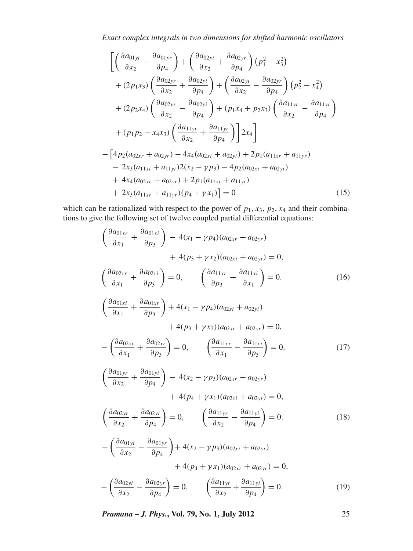$$
-\left[\left(\frac{\partial a_{01yi}}{\partial x_2} - \frac{\partial a_{01yr}}{\partial p_4}\right) + \left(\frac{\partial a_{02yi}}{\partial x_2} + \frac{\partial a_{02yr}}{\partial p_4}\right) (p_1^2 - x_3^2) + (2p_1x_3)\left(\frac{\partial a_{02yr}}{\partial x_2} + \frac{\partial a_{02yi}}{\partial p_4}\right) + \left(\frac{\partial a_{02yi}}{\partial x_2} - \frac{\partial a_{02yr}}{\partial p_4}\right) (p_2^2 - x_4^2) + (2p_2x_4)\left(\frac{\partial a_{02yr}}{\partial x_2} - \frac{\partial a_{02yi}}{\partial p_4}\right) + (p_1x_4 + p_2x_3)\left(\frac{\partial a_{11yr}}{\partial x_2} - \frac{\partial a_{11yi}}{\partial p_4}\right) + (p_1p_2 - x_4x_3)\left(\frac{\partial a_{11yi}}{\partial x_2} + \frac{\partial a_{11yr}}{\partial p_4}\right) 2x_4\right] - \left[4p_2(a_{02xr} + a_{02yr}) - 4x_4(a_{02xi} + a_{02yi}) + 2p_1(a_{11xr} + a_{11yr}) - 2x_3(a_{11xi} + a_{11yi})2(x_2 - \gamma p_3) - 4p_2(a_{02xi} + a_{02yi}) + 4x_4(a_{02xr} + a_{02yr}) + 2p_1(a_{11xi} + a_{11yi}) + 2x_3(a_{11xr} + a_{11yr})(p_4 + \gamma x_1)\right] = 0
$$
\n(15)

which can be rationalized with respect to the power of  $p_1$ ,  $x_3$ ,  $p_2$ ,  $x_4$  and their combinations to give the following set of twelve coupled partial differential equations:

$$
\left(\frac{\partial a_{01xr}}{\partial x_1} + \frac{\partial a_{01xi}}{\partial p_3}\right) - 4(x_1 - \gamma p_4)(a_{02xr} + a_{02yr}) \n+ 4(p_3 + \gamma x_2)(a_{02xi} + a_{02yi}) = 0, \n\left(\frac{\partial a_{02xr}}{\partial x_1} + \frac{\partial a_{02xi}}{\partial p_3}\right) = 0, \qquad \left(\frac{\partial a_{11xr}}{\partial p_3} + \frac{\partial a_{11xi}}{\partial x_1}\right) = 0. \n\left(\frac{\partial a_{01xr}}{\partial x_1} + \frac{\partial a_{01xr}}{\partial p_3}\right) + 4(x_1 - \gamma p_4)(a_{02xi} + a_{02yi}) \n+ 4(p_3 + \gamma x_2)(a_{02xr} + a_{02yr}) = 0, \n-\left(\frac{\partial a_{02xi}}{\partial x_1} + \frac{\partial a_{02xr}}{\partial p_3}\right) = 0, \qquad \left(\frac{\partial a_{11xr}}{\partial x_1} - \frac{\partial a_{11xi}}{\partial p_3}\right) = 0. \n\left(\frac{\partial a_{01yr}}{\partial x_2} + \frac{\partial a_{01yi}}{\partial p_4}\right) - 4(x_2 - \gamma p_3)(a_{02xr} + a_{02yr}) \n+ 4(p_4 + \gamma x_1)(a_{02xi} + a_{02yi}) = 0, \n\left(\frac{\partial a_{02yr}}{\partial x_2} + \frac{\partial a_{02yi}}{\partial p_4}\right) = 0, \qquad \left(\frac{\partial a_{11yr}}{\partial x_2} - \frac{\partial a_{11yi}}{\partial p_4}\right) = 0. \n-\left(\frac{\partial a_{01yi}}{\partial x_2} - \frac{\partial a_{01yr}}{\partial p_4}\right) + 4(x_2 - \gamma p_3)(a_{02xi} + a_{02yi}) \n+ 4(p_4 + \gamma x_1)(a_{02xr} + a_{02yr}) = 0, \n-\left(\frac{\partial a_{02yi}}{\partial x_2} - \frac{\partial a_{02yr}}{\partial p_4}\right) = 0, \qquad \left(\frac{\partial a_{11yr}}{\partial x_2} + \frac{\partial a_{11yi}}{\partial p_4}\right) = 0.
$$
 (1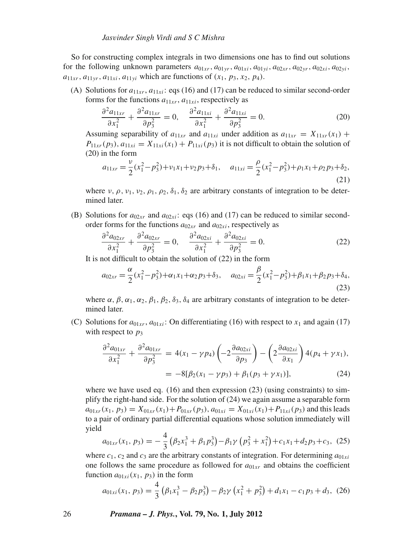So for constructing complex integrals in two dimensions one has to find out solutions for the following unknown parameters  $a_{01xr}$ ,  $a_{01yr}$ ,  $a_{01xi}$ ,  $a_{01yi}$ ,  $a_{02xr}$ ,  $a_{02y}$ ,  $a_{02xi}$ ,  $a_{02yi}$ ,  $a_{11xr}$ ,  $a_{11yr}$ ,  $a_{11xi}$ ,  $a_{11yi}$  which are functions of  $(x_1, p_3, x_2, p_4)$ .

(A) Solutions for  $a_{11xr}$ ,  $a_{11xi}$ ; eqs (16) and (17) can be reduced to similar second-order forms for the functions  $a_{11xr}$ ,  $a_{11xi}$ , respectively as

$$
\frac{\partial^2 a_{11xr}}{\partial x_1^2} + \frac{\partial^2 a_{11xr}}{\partial p_3^2} = 0, \quad \frac{\partial^2 a_{11xi}}{\partial x_1^2} + \frac{\partial^2 a_{11xi}}{\partial p_3^2} = 0.
$$
 (20)

Assuming separability of  $a_{11x}$  and  $a_{11x}$  under addition as  $a_{11x} = X_{11x}$  $(x_1)$  +  $P_{11xr}(p_3), a_{11xi} = X_{11xi}(x_1) + P_{11xi}(p_3)$  it is not difficult to obtain the solution of (20) in the form

$$
a_{11xr} = \frac{\nu}{2}(x_1^2 - p_3^2) + \nu_1 x_1 + \nu_2 p_3 + \delta_1, \quad a_{11xi} = \frac{\rho}{2}(x_1^2 - p_3^2) + \rho_1 x_1 + \rho_2 p_3 + \delta_2,
$$
\n(21)

where  $v, \rho, v_1, v_2, \rho_1, \rho_2, \delta_1, \delta_2$  are arbitrary constants of integration to be determined later.

(B) Solutions for  $a_{02xr}$  and  $a_{02xi}$ : eqs (16) and (17) can be reduced to similar secondorder forms for the functions  $a_{02xr}$  and  $a_{02xi}$ , respectively as

$$
\frac{\partial^2 a_{02xr}}{\partial x_1^2} + \frac{\partial^2 a_{02xr}}{\partial p_3^2} = 0, \quad \frac{\partial^2 a_{02xi}}{\partial x_1^2} + \frac{\partial^2 a_{02xi}}{\partial p_3^2} = 0.
$$
 (22)

It is not difficult to obtain the solution of (22) in the form

$$
a_{02xr} = \frac{\alpha}{2}(x_1^2 - p_3^2) + \alpha_1 x_1 + \alpha_2 p_3 + \delta_3, \quad a_{02xi} = \frac{\beta}{2}(x_1^2 - p_3^2) + \beta_1 x_1 + \beta_2 p_3 + \delta_4,
$$
\n(23)

where  $\alpha$ ,  $\beta$ ,  $\alpha_1$ ,  $\alpha_2$ ,  $\beta_1$ ,  $\beta_2$ ,  $\delta_3$ ,  $\delta_4$  are arbitrary constants of integration to be determined later.

(C) Solutions for  $a_{01xr}$ ,  $a_{01xi}$ : On differentiating (16) with respect to  $x_1$  and again (17) with respect to  $p_3$ 

$$
\frac{\partial^2 a_{01xr}}{\partial x_1^2} + \frac{\partial^2 a_{01xr}}{\partial p_3^2} = 4(x_1 - \gamma p_4) \left( -2 \frac{\partial a_{02xi}}{\partial p_3} \right) - \left( 2 \frac{\partial a_{02xi}}{\partial x_1} \right) 4(p_4 + \gamma x_1),
$$
  
=  $-8[\beta_2(x_1 - \gamma p_3) + \beta_1(p_3 + \gamma x_1)],$  (24)

where we have used eq. (16) and then expression (23) (using constraints) to simplify the right-hand side. For the solution of (24) we again assume a separable form  $a_{01xr}(x_1, p_3) = X_{01xr}(x_1) + P_{01xr}(p_3), a_{01xi} = X_{01xi}(x_1) + P_{11xi}(p_3)$  and this leads to a pair of ordinary partial differential equations whose solution immediately will yield

$$
a_{01xr}(x_1, p_3) = -\frac{4}{3} \left( \beta_2 x_1^3 + \beta_1 p_3^3 \right) - \beta_1 \gamma \left( p_3^2 + x_1^2 \right) + c_1 x_1 + d_2 p_3 + c_3, \tag{25}
$$

where  $c_1$ ,  $c_2$  and  $c_3$  are the arbitrary constants of integration. For determining  $a_{01xi}$ one follows the same procedure as followed for  $a_{01xr}$  and obtains the coefficient function  $a_{01xi}(x_1, p_3)$  in the form

$$
a_{01xi}(x_1, p_3) = \frac{4}{3} \left( \beta_1 x_1^3 - \beta_2 p_3^3 \right) - \beta_2 \gamma \left( x_1^2 + p_3^2 \right) + d_1 x_1 - c_1 p_3 + d_3, \tag{26}
$$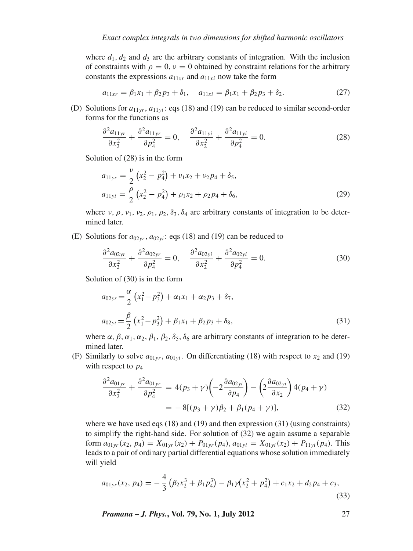where  $d_1$ ,  $d_2$  and  $d_3$  are the arbitrary constants of integration. With the inclusion of constraints with  $\rho = 0$ ,  $\nu = 0$  obtained by constraint relations for the arbitrary constants the expressions  $a_{11xr}$  and  $a_{11xi}$  now take the form

$$
a_{11xr} = \beta_1 x_1 + \beta_2 p_3 + \delta_1, \quad a_{11xi} = \beta_1 x_1 + \beta_2 p_3 + \delta_2. \tag{27}
$$

(D) Solutions for  $a_{11vr}$ ,  $a_{11vi}$ : eqs (18) and (19) can be reduced to similar second-order forms for the functions as

$$
\frac{\partial^2 a_{11yr}}{\partial x_2^2} + \frac{\partial^2 a_{11yr}}{\partial p_4^2} = 0, \quad \frac{\partial^2 a_{11yi}}{\partial x_2^2} + \frac{\partial^2 a_{11yi}}{\partial p_4^2} = 0.
$$
 (28)

Solution of (28) is in the form

$$
a_{11yr} = \frac{v}{2} (x_2^2 - p_4^2) + v_1 x_2 + v_2 p_4 + \delta_5,
$$
  
\n
$$
a_{11yi} = \frac{\rho}{2} (x_2^2 - p_4^2) + \rho_1 x_2 + \rho_2 p_4 + \delta_6,
$$
\n(29)

where  $v, \rho, v_1, v_2, \rho_1, \rho_2, \delta_3, \delta_4$  are arbitrary constants of integration to be determined later.

(E) Solutions for  $a_{02\gamma r}$ ,  $a_{02\gamma i}$ : eqs (18) and (19) can be reduced to

$$
\frac{\partial^2 a_{02yr}}{\partial x_2^2} + \frac{\partial^2 a_{02yr}}{\partial p_4^2} = 0, \quad \frac{\partial^2 a_{02yi}}{\partial x_2^2} + \frac{\partial^2 a_{02yi}}{\partial p_4^2} = 0.
$$
 (30)

Solution of (30) is in the form

$$
a_{02yr} = \frac{\alpha}{2} \left( x_1^2 - p_3^2 \right) + \alpha_1 x_1 + \alpha_2 p_3 + \delta_7,
$$
  

$$
a_{02yi} = \frac{\beta}{2} \left( x_1^2 - p_3^2 \right) + \beta_1 x_1 + \beta_2 p_3 + \delta_8,
$$
 (31)

where  $\alpha$ ,  $\beta$ ,  $\alpha_1$ ,  $\alpha_2$ ,  $\beta_1$ ,  $\beta_2$ ,  $\delta_5$ ,  $\delta_6$  are arbitrary constants of integration to be determined later.

(F) Similarly to solve  $a_{01yr}$ ,  $a_{01yi}$ . On differentiating (18) with respect to  $x_2$  and (19) with respect to  $p_4$ 

$$
\frac{\partial^2 a_{01yr}}{\partial x_2^2} + \frac{\partial^2 a_{01yr}}{\partial p_4^2} = 4(p_3 + \gamma) \left( -2 \frac{\partial a_{02yi}}{\partial p_4} \right) - \left( 2 \frac{\partial a_{02yi}}{\partial x_2} \right) 4(p_4 + \gamma)
$$
  
=  $-8[(p_3 + \gamma)\beta_2 + \beta_1(p_4 + \gamma)],$  (32)

where we have used eqs (18) and (19) and then expression (31) (using constraints) to simplify the right-hand side. For solution of (32) we again assume a separable form  $a_{01yr}(x_2, p_4) = X_{01yr}(x_2) + P_{01yr}(p_4), a_{01yi} = X_{01yi}(x_2) + P_{11yi}(p_4)$ . This leads to a pair of ordinary partial differential equations whose solution immediately will yield

$$
a_{01yr}(x_2, p_4) = -\frac{4}{3} \left( \beta_2 x_2^3 + \beta_1 p_4^3 \right) - \beta_1 \gamma (x_2^2 + p_4^2) + c_1 x_2 + d_2 p_4 + c_3,
$$
\n(33)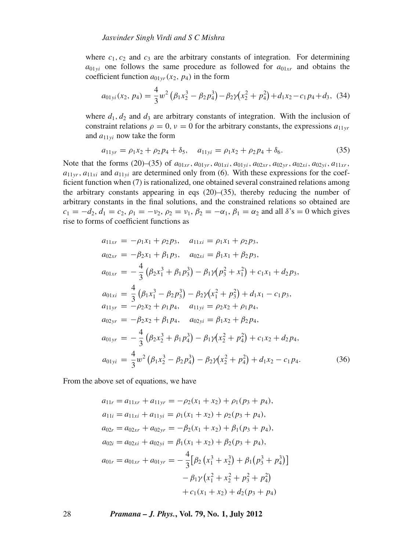where  $c_1$ ,  $c_2$  and  $c_3$  are the arbitrary constants of integration. For determining  $a_{01yi}$  one follows the same procedure as followed for  $a_{01xr}$  and obtains the coefficient function  $a_{01vr}(x_2, p_4)$  in the form

$$
a_{01yi}(x_2, p_4) = \frac{4}{3}w^2(\beta_1x_2^3 - \beta_2p_4^3) - \beta_2\gamma(x_2^2 + p_4^2) + d_1x_2 - c_1p_4 + d_3, (34)
$$

where  $d_1, d_2$  and  $d_3$  are arbitrary constants of integration. With the inclusion of constraint relations  $\rho = 0$ ,  $\nu = 0$  for the arbitrary constants, the expressions  $a_{11vr}$ and  $a_{11vi}$  now take the form

$$
a_{11yr} = \rho_1 x_2 + \rho_2 p_4 + \delta_5, \quad a_{11yi} = \rho_1 x_2 + \rho_2 p_4 + \delta_6. \tag{35}
$$

Note that the forms (20)–(35) of  $a_{01xr}$ ,  $a_{01yr}$ ,  $a_{01yi}$ ,  $a_{02xr}$ ,  $a_{02xr}$ ,  $a_{02xi}$ ,  $a_{02yi}$ ,  $a_{11xr}$ ,  $a_{11yr}$ ,  $a_{11xi}$  and  $a_{11yi}$  are determined only from (6). With these expressions for the coefficient function when (7) is rationalized, one obtained several constrained relations among the arbitrary constants appearing in eqs  $(20)$ – $(35)$ , thereby reducing the number of arbitrary constants in the final solutions, and the constrained relations so obtained are  $c_1 = -d_2, d_1 = c_2, \rho_1 = -\nu_2, \rho_2 = \nu_1, \beta_2 = -\alpha_1, \beta_1 = \alpha_2$  and all  $\delta$ 's = 0 which gives rise to forms of coefficient functions as

$$
a_{11xr} = -\rho_1 x_1 + \rho_2 p_3, \quad a_{11xi} = \rho_1 x_1 + \rho_2 p_3,
$$
  
\n
$$
a_{02xr} = -\beta_2 x_1 + \beta_1 p_3, \quad a_{02xi} = \beta_1 x_1 + \beta_2 p_3,
$$
  
\n
$$
a_{01xr} = -\frac{4}{3} (\beta_2 x_1^3 + \beta_1 p_3^3) - \beta_1 \gamma (p_3^2 + x_1^2) + c_1 x_1 + d_2 p_3,
$$
  
\n
$$
a_{01xi} = \frac{4}{3} (\beta_1 x_1^3 - \beta_2 p_3^3) - \beta_2 \gamma (x_1^2 + p_3^2) + d_1 x_1 - c_1 p_3,
$$
  
\n
$$
a_{11yr} = -\rho_2 x_2 + \rho_1 p_4, \quad a_{11yi} = \rho_2 x_2 + \rho_1 p_4,
$$
  
\n
$$
a_{02yr} = -\beta_2 x_2 + \beta_1 p_4, \quad a_{02yi} = \beta_1 x_2 + \beta_2 p_4,
$$
  
\n
$$
a_{01yr} = -\frac{4}{3} (\beta_2 x_2^3 + \beta_1 p_4^3) - \beta_1 \gamma (x_2^2 + p_4^2) + c_1 x_2 + d_2 p_4,
$$
  
\n
$$
a_{01yi} = \frac{4}{3} w^2 (\beta_1 x_2^3 - \beta_2 p_4^3) - \beta_2 \gamma (x_2^2 + p_4^2) + d_1 x_2 - c_1 p_4.
$$
  
\n(36)

From the above set of equations, we have

$$
a_{11r} = a_{11xr} + a_{11yr} = -\rho_2(x_1 + x_2) + \rho_1(p_3 + p_4),
$$
  
\n
$$
a_{11i} = a_{11xi} + a_{11yi} = \rho_1(x_1 + x_2) + \rho_2(p_3 + p_4),
$$
  
\n
$$
a_{02r} = a_{02xr} + a_{02yr} = -\beta_2(x_1 + x_2) + \beta_1(p_3 + p_4),
$$
  
\n
$$
a_{02i} = a_{02xi} + a_{02yi} = \beta_1(x_1 + x_2) + \beta_2(p_3 + p_4),
$$
  
\n
$$
a_{01r} = a_{01xr} + a_{01yr} = -\frac{4}{3} [\beta_2 (x_1^3 + x_2^3) + \beta_1 (p_3^3 + p_4^3)] - \beta_1 \gamma (x_1^2 + x_2^2 + p_3^2 + p_4^2) + c_1(x_1 + x_2) + d_2(p_3 + p_4)
$$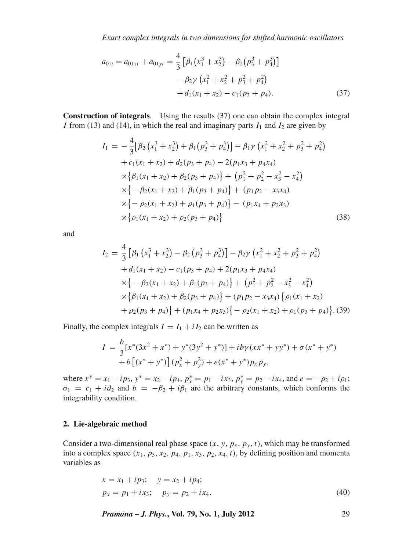*Exact complex integrals in two dimensions for shifted harmonic oscillators*

$$
a_{01i} = a_{01xi} + a_{01yi} = \frac{4}{3} \left[ \beta_1 (x_1^3 + x_2^3) - \beta_2 (p_3^3 + p_4^3) \right] - \beta_2 \gamma (x_1^2 + x_2^2 + p_3^2 + p_4^2) + d_1 (x_1 + x_2) - c_1 (p_3 + p_4).
$$
 (37)

**Construction of integrals***.* Using the results (37) one can obtain the complex integral *I* from (13) and (14), in which the real and imaginary parts  $I_1$  and  $I_2$  are given by

$$
I_1 = -\frac{4}{3} [\beta_2 (x_1^3 + x_2^3) + \beta_1 (p_3^3 + p_4^3)] - \beta_1 \gamma (x_1^2 + x_2^2 + p_3^2 + p_4^2)
$$
  
+  $c_1(x_1 + x_2) + d_2(p_3 + p_4) - 2(p_1x_3 + p_4x_4)$   
 $\times {\beta_1(x_1 + x_2) + \beta_2(p_3 + p_4)} + (p_1^2 + p_2^2 - x_3^2 - x_4^2)$   
 $\times {-\beta_2(x_1 + x_2) + \beta_1(p_3 + p_4)} + (p_1p_2 - x_3x_4)$   
 $\times {-\rho_2(x_1 + x_2) + \rho_1(p_3 + p_4)} - (p_1x_4 + p_2x_3)$   
 $\times {\rho_1(x_1 + x_2) + \rho_2(p_3 + p_4)}$  (38)

and

$$
I_2 = \frac{4}{3} [\beta_1 (x_1^3 + x_2^3) - \beta_2 (p_3^3 + p_4^3)] - \beta_2 \gamma (x_1^2 + x_2^2 + p_3^2 + p_4^2)
$$
  
+  $d_1(x_1 + x_2) - c_1(p_3 + p_4) + 2(p_1x_3 + p_4x_4)$   

$$
\times \{-\beta_2(x_1 + x_2) + \beta_1(p_3 + p_4)\} + (p_1^2 + p_2^2 - x_3^2 - x_4^2)
$$
  

$$
\times \{\beta_1(x_1 + x_2) + \beta_2(p_3 + p_4)\} + (p_1p_2 - x_3x_4) \{\rho_1(x_1 + x_2)
$$
  
+  $\rho_2(p_3 + p_4)\} + (p_1x_4 + p_2x_3) \{-\rho_2(x_1 + x_2) + \rho_1(p_3 + p_4)\}.$  (39)

Finally, the complex integrals  $I = I_1 + iI_2$  can be written as

$$
I = \frac{b}{3} [x^*(3x^2 + x^*) + y^*(3y^2 + y^*)] + ib\gamma (xx^* + yy^*) + \sigma (x^* + y^*)
$$
  
+  $b [(x^* + y^*)](p_x^2 + p_y^2) + e(x^* + y^*)p_x p_y,$ 

where  $x^* = x_1 - ip_3$ ,  $y^* = x_2 - ip_4$ ,  $p_x^* = p_1 - ix_3$ ,  $p_y^* = p_2 - ix_4$ , and  $e = -p_2 + i\rho_1$ ;  $\sigma_1 = c_1 + id_2$  and  $b = -\beta_2 + i\beta_1$  are the arbitrary constants, which conforms the integrability condition.

### **2. Lie-algebraic method**

Consider a two-dimensional real phase space  $(x, y, p_x, p_y, t)$ , which may be transformed into a complex space  $(x_1, p_3, x_2, p_4, p_1, x_3, p_2, x_4, t)$ , by defining position and momenta variables as

$$
x = x_1 + ip_3; \quad y = x_2 + ip_4; p_x = p_1 + ix_3; \quad p_y = p_2 + ix_4.
$$
 (40)

*Pramana – J. Phys.***, Vol. 79, No. 1, July 2012** 29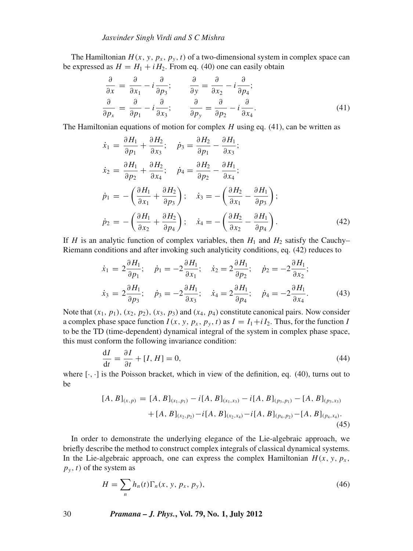The Hamiltonian  $H(x, y, p_x, p_y, t)$  of a two-dimensional system in complex space can be expressed as  $H = H_1 + iH_2$ . From eq. (40) one can easily obtain

$$
\frac{\partial}{\partial x} = \frac{\partial}{\partial x_1} - i \frac{\partial}{\partial p_3}; \qquad \frac{\partial}{\partial y} = \frac{\partial}{\partial x_2} - i \frac{\partial}{\partial p_4};
$$
  

$$
\frac{\partial}{\partial p_x} = \frac{\partial}{\partial p_1} - i \frac{\partial}{\partial x_3}; \qquad \frac{\partial}{\partial p_y} = \frac{\partial}{\partial p_2} - i \frac{\partial}{\partial x_4}.
$$
(41)

The Hamiltonian equations of motion for complex *H* using eq. (41), can be written as

$$
\dot{x}_1 = \frac{\partial H_1}{\partial p_1} + \frac{\partial H_2}{\partial x_3}; \quad \dot{p}_3 = \frac{\partial H_2}{\partial p_1} - \frac{\partial H_1}{\partial x_3};
$$
\n
$$
\dot{x}_2 = \frac{\partial H_1}{\partial p_2} + \frac{\partial H_2}{\partial x_4}; \quad \dot{p}_4 = \frac{\partial H_2}{\partial p_2} - \frac{\partial H_1}{\partial x_4};
$$
\n
$$
\dot{p}_1 = -\left(\frac{\partial H_1}{\partial x_1} + \frac{\partial H_2}{\partial p_3}\right); \quad \dot{x}_3 = -\left(\frac{\partial H_2}{\partial x_1} - \frac{\partial H_1}{\partial p_3}\right);
$$
\n
$$
\dot{p}_2 = -\left(\frac{\partial H_1}{\partial x_2} + \frac{\partial H_2}{\partial p_4}\right); \quad \dot{x}_4 = -\left(\frac{\partial H_2}{\partial x_2} - \frac{\partial H_1}{\partial p_4}\right).
$$
\n(42)

If *H* is an analytic function of complex variables, then  $H_1$  and  $H_2$  satisfy the Cauchy– Riemann conditions and after invoking such analyticity conditions, eq. (42) reduces to

$$
\dot{x}_1 = 2 \frac{\partial H_1}{\partial p_1}; \quad \dot{p}_1 = -2 \frac{\partial H_1}{\partial x_1}; \quad \dot{x}_2 = 2 \frac{\partial H_1}{\partial p_2}; \quad \dot{p}_2 = -2 \frac{\partial H_1}{\partial x_2};
$$
\n
$$
\dot{x}_3 = 2 \frac{\partial H_1}{\partial p_3}; \quad \dot{p}_3 = -2 \frac{\partial H_1}{\partial x_3}; \quad \dot{x}_4 = 2 \frac{\partial H_1}{\partial p_4}; \quad \dot{p}_4 = -2 \frac{\partial H_1}{\partial x_4}.
$$
\n(43)

Note that  $(x_1, p_1)$ ,  $(x_2, p_2)$ ,  $(x_3, p_3)$  and  $(x_4, p_4)$  constitute canonical pairs. Now consider a complex phase space function  $I(x, y, p_x, p_y, t)$  as  $I = I_1 + iI_2$ . Thus, for the function *I* to be the TD (time-dependent) dynamical integral of the system in complex phase space, this must conform the following invariance condition:

$$
\frac{dI}{dt} = \frac{\partial I}{\partial t} + [I, H] = 0,\tag{44}
$$

where  $[\cdot, \cdot]$  is the Poisson bracket, which in view of the definition, eq. (40), turns out to be

$$
[A, B]_{(x,p)} = [A, B]_{(x_1,p_1)} - i[A, B]_{(x_1,x_3)} - i[A, B]_{(p_3,p_1)} - [A, B]_{(p_3,x_3)} + [A, B]_{(x_2,p_2)} - i[A, B]_{(x_2,x_4)} - i[A, B]_{(p_4,p_2)} - [A, B]_{(p_4,x_4)}.
$$
\n
$$
(45)
$$

In order to demonstrate the underlying elegance of the Lie-algebraic approach, we briefly describe the method to construct complex integrals of classical dynamical systems. In the Lie-algebraic approach, one can express the complex Hamiltonian  $H(x, y, p_x)$ ,  $p_y$ , *t*) of the system as

$$
H = \sum_{n} h_n(t) \Gamma_n(x, y, p_x, p_y), \tag{46}
$$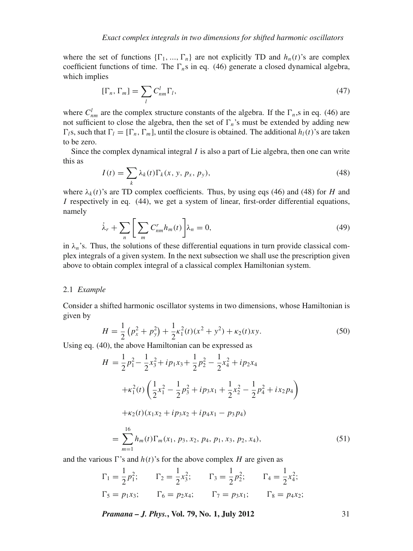where the set of functions  $\{\Gamma_1, ..., \Gamma_n\}$  are not explicitly TD and  $h_n(t)$ 's are complex coefficient functions of time. The  $\Gamma_n$ s in eq. (46) generate a closed dynamical algebra, which implies

$$
[\Gamma_n, \Gamma_m] = \sum_l C_{nm}^l \Gamma_l,\tag{47}
$$

where  $C_{nm}^l$  are the complex structure constants of the algebra. If the  $\Gamma_n$ , s in eq. (46) are not sufficient to close the algebra, then the set of  $\Gamma_n$ 's must be extended by adding new  $\Gamma_l$ s, such that  $\Gamma_l = [\Gamma_n, \Gamma_m]$ , until the closure is obtained. The additional  $h_l(t)$ 's are taken to be zero.

Since the complex dynamical integral *I* is also a part of Lie algebra, then one can write this as

$$
I(t) = \sum_{k} \lambda_k(t) \Gamma_k(x, y, p_x, p_y), \qquad (48)
$$

where  $\lambda_k(t)$ 's are TD complex coefficients. Thus, by using eqs (46) and (48) for *H* and *I* respectively in eq. (44), we get a system of linear, first-order differential equations, namely

$$
\dot{\lambda}_r + \sum_n \bigg[ \sum_m C_{nm}^r h_m(t) \bigg] \lambda_n = 0,
$$
\n(49)

in  $\lambda_n$ 's. Thus, the solutions of these differential equations in turn provide classical complex integrals of a given system. In the next subsection we shall use the prescription given above to obtain complex integral of a classical complex Hamiltonian system.

#### 2.1 *Example*

Consider a shifted harmonic oscillator systems in two dimensions, whose Hamiltonian is given by

$$
H = \frac{1}{2} \left( p_x^2 + p_y^2 \right) + \frac{1}{2} \kappa_1^2(t) (x^2 + y^2) + \kappa_2(t) xy.
$$
 (50)

Using eq. (40), the above Hamiltonian can be expressed as

$$
H = \frac{1}{2}p_1^2 - \frac{1}{2}x_3^2 + ip_1x_3 + \frac{1}{2}p_2^2 - \frac{1}{2}x_4^2 + ip_2x_4
$$
  
+  $\kappa_1^2(t) \left( \frac{1}{2}x_1^2 - \frac{1}{2}p_3^2 + ip_3x_1 + \frac{1}{2}x_2^2 - \frac{1}{2}p_4^2 + ix_2p_4 \right)$   
+  $\kappa_2(t)(x_1x_2 + ip_3x_2 + ip_4x_1 - p_3p_4)$   
=  $\sum_{m=1}^{16} h_m(t)\Gamma_m(x_1, p_3, x_2, p_4, p_1, x_3, p_2, x_4),$  (51)

and the various  $\Gamma$ 's and  $h(t)$ 's for the above complex *H* are given as

$$
\Gamma_1 = \frac{1}{2} p_1^2; \qquad \Gamma_2 = \frac{1}{2} x_3^2; \qquad \Gamma_3 = \frac{1}{2} p_2^2; \qquad \Gamma_4 = \frac{1}{2} x_4^2; \n\Gamma_5 = p_1 x_3; \qquad \Gamma_6 = p_2 x_4; \qquad \Gamma_7 = p_3 x_1; \qquad \Gamma_8 = p_4 x_2;
$$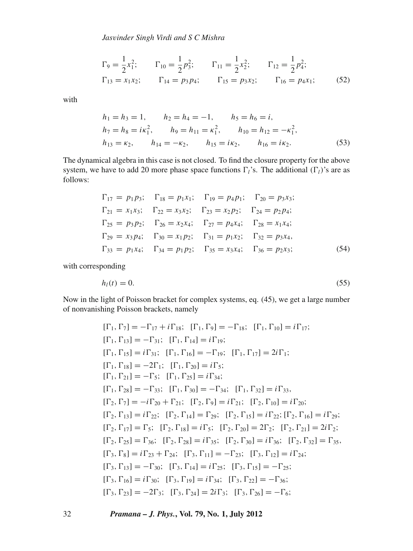*Jas*v*inder Singh Virdi and S C Mishra*

$$
\Gamma_9 = \frac{1}{2} x_1^2; \qquad \Gamma_{10} = \frac{1}{2} p_3^2; \qquad \Gamma_{11} = \frac{1}{2} x_2^2; \qquad \Gamma_{12} = \frac{1}{2} p_4^2; \n\Gamma_{13} = x_1 x_2; \qquad \Gamma_{14} = p_3 p_4; \qquad \Gamma_{15} = p_3 x_2; \qquad \Gamma_{16} = p_4 x_1; \tag{52}
$$

with

$$
h_1 = h_3 = 1, \t h_2 = h_4 = -1, \t h_5 = h_6 = i,
$$
  
\n
$$
h_7 = h_8 = i\kappa_1^2, \t h_9 = h_{11} = \kappa_1^2, \t h_{10} = h_{12} = -\kappa_1^2,
$$
  
\n
$$
h_{13} = \kappa_2, \t h_{14} = -\kappa_2, \t h_{15} = i\kappa_2, \t h_{16} = i\kappa_2.
$$
\n(53)

The dynamical algebra in this case is not closed. To find the closure property for the above system, we have to add 20 more phase space functions  $\Gamma_l$ 's. The additional  $(\Gamma_l)$ 's are as follows:

$$
\Gamma_{17} = p_1 p_3; \quad \Gamma_{18} = p_1 x_1; \quad \Gamma_{19} = p_4 p_1; \quad \Gamma_{20} = p_3 x_3; \n\Gamma_{21} = x_1 x_3; \quad \Gamma_{22} = x_3 x_2; \quad \Gamma_{23} = x_2 p_2; \quad \Gamma_{24} = p_2 p_4; \n\Gamma_{25} = p_3 p_2; \quad \Gamma_{26} = x_2 x_4; \quad \Gamma_{27} = p_4 x_4; \quad \Gamma_{28} = x_1 x_4; \n\Gamma_{29} = x_3 p_4; \quad \Gamma_{30} = x_1 p_2; \quad \Gamma_{31} = p_1 x_2; \quad \Gamma_{32} = p_3 x_4, \n\Gamma_{33} = p_1 x_4; \quad \Gamma_{34} = p_1 p_2; \quad \Gamma_{35} = x_3 x_4; \quad \Gamma_{36} = p_2 x_3; \tag{54}
$$

with corresponding

$$
h_l(t) = 0.\tag{55}
$$

Now in the light of Poisson bracket for complex systems, eq. (45), we get a large number of nonvanishing Poisson brackets, namely

$$
[\Gamma_1, \Gamma_7] = -\Gamma_{17} + i\Gamma_{18}; [\Gamma_1, \Gamma_9] = -\Gamma_{18}; [\Gamma_1, \Gamma_{10}] = i\Gamma_{17};
$$
  
\n
$$
[\Gamma_1, \Gamma_{13}] = -\Gamma_{31}; [\Gamma_1, \Gamma_{14}] = i\Gamma_{19};
$$
  
\n
$$
[\Gamma_1, \Gamma_{15}] = i\Gamma_{31}; [\Gamma_1, \Gamma_{16}] = -\Gamma_{19}; [\Gamma_1, \Gamma_{17}] = 2i\Gamma_1;
$$
  
\n
$$
[\Gamma_1, \Gamma_{18}] = -2\Gamma_1; [\Gamma_1, \Gamma_{20}] = i\Gamma_5;
$$
  
\n
$$
[\Gamma_1, \Gamma_{21}] = -\Gamma_5; [\Gamma_1, \Gamma_{25}] = i\Gamma_{34};
$$
  
\n
$$
[\Gamma_1, \Gamma_{28}] = -\Gamma_{33}; [\Gamma_1, \Gamma_{30}] = -\Gamma_{34}; [\Gamma_1, \Gamma_{32}] = i\Gamma_{33},
$$
  
\n
$$
[\Gamma_2, \Gamma_7] = -i\Gamma_{20} + \Gamma_{21}; [\Gamma_2, \Gamma_9] = i\Gamma_{21}; [\Gamma_2, \Gamma_{10}] = i\Gamma_{20};
$$
  
\n
$$
[\Gamma_2, \Gamma_{13}] = i\Gamma_{22}; [\Gamma_2, \Gamma_{14}] = \Gamma_{29}; [\Gamma_2, \Gamma_{15}] = i\Gamma_{22}; [\Gamma_2, \Gamma_{16}] = i\Gamma_{29};
$$
  
\n
$$
[\Gamma_2, \Gamma_{17}] = \Gamma_5; [\Gamma_2, \Gamma_{18}] = i\Gamma_5; [\Gamma_2, \Gamma_{20}] = 2\Gamma_2; [\Gamma_2, \Gamma_{21}] = 2i\Gamma_2;
$$
  
\n
$$
[\Gamma_2, \Gamma_{25}] = \Gamma_{36}; [\Gamma_2, \Gamma_{28}] = i\Gamma_{35}; [\Gamma_2, \Gamma_{30}] = i\Gamma_{36}; [\Gamma_2, \Gamma_{32}] = \Gamma_{35},
$$
  
\n
$$
[\Gamma_3, \Gamma_8] = i\Gamma_{23} + \Gamma_{24}; [\Gamma_3, \Gamma_{11}] = -\Gamma_{23}; [\Gamma_3, \Gamma_{12}] = i\Gamma_{24};
$$
<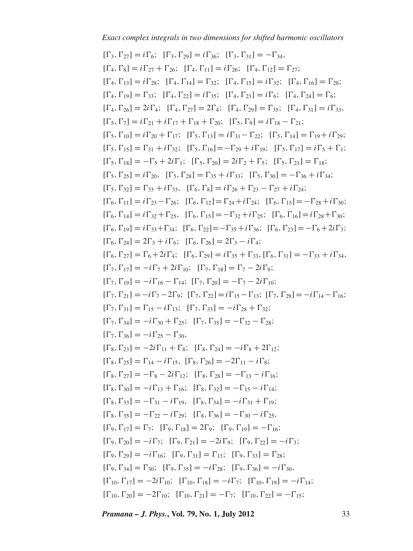$[\Gamma_3,\Gamma_{27}] = i\Gamma_6; \ [\Gamma_3,\Gamma_{29}] = i\Gamma_{36}; \ [\Gamma_3,\Gamma_{31}] = -\Gamma_{34},$  $[\Gamma_4, \Gamma_8] = i\Gamma_{27} + \Gamma_{26}; \quad [\Gamma_4, \Gamma_{11}] = i\Gamma_{26}; \quad [\Gamma_4, \Gamma_{12}] = \Gamma_{27};$  $[\Gamma_4, \Gamma_{13}] = i\Gamma_{28}$ ;  $[\Gamma_4, \Gamma_{14}] = \Gamma_{32}$ ;  $[\Gamma_4, \Gamma_{15}] = i\Gamma_{32}$ ;  $[\Gamma_4, \Gamma_{16}] = \Gamma_{28}$ ;  $[\Gamma_4, \Gamma_{19}] = \Gamma_{33}$ ;  $[\Gamma_4, \Gamma_{22}] = i \Gamma_{35}$ ;  $[\Gamma_4, \Gamma_{23}] = i \Gamma_6$ ;  $[\Gamma_4, \Gamma_{24}] = \Gamma_6$ ;  $[\Gamma_4,\Gamma_{26}] = 2i\Gamma_4; \quad [\Gamma_4,\Gamma_{27}] = 2\Gamma_4; \quad [\Gamma_4,\Gamma_{29}] = \Gamma_{35}; \quad [\Gamma_4,\Gamma_{31}] = i\Gamma_{33},$  $[\Gamma_5, \Gamma_7] = i\Gamma_{21} + i\Gamma_{17} + \Gamma_{18} + \Gamma_{20}; \ \ [\Gamma_5, \Gamma_9] = i\Gamma_{18} - \Gamma_{21};$  $[\Gamma_5,\Gamma_{10}] = i\Gamma_{20} + \Gamma_{17}; \quad [\Gamma_5,\Gamma_{13}] = i\Gamma_{31} - \Gamma_{22}; \quad [\Gamma_5,\Gamma_{14}] = \Gamma_{19} + i\Gamma_{29};$  $[\Gamma_5, \Gamma_{15}] = \Gamma_{31} + i \Gamma_{32}; \quad [\Gamma_5, \Gamma_{16}] = -\Gamma_{29} + i \Gamma_{19}; \quad [\Gamma_5, \Gamma_{17}] = i \Gamma_5 + \Gamma_1;$  $[\Gamma_5,\Gamma_{18}] = -\Gamma_5 + 2i\Gamma_1; \quad [\Gamma_5,\Gamma_{20}] = 2i\Gamma_2 + \Gamma_5; \quad [\Gamma_5,\Gamma_{21}] = \Gamma_{18};$  $[\Gamma_5,\Gamma_{25}] = i\Gamma_{20}, \ [\Gamma_5,\Gamma_{28}] = \Gamma_{35} + i\Gamma_{33}; \ [\Gamma_5,\Gamma_{30}] = -\Gamma_{36} + i\Gamma_{34};$  $[\Gamma_5, \Gamma_{32}] = \Gamma_{33} + i \Gamma_{33}, \quad [\Gamma_6, \Gamma_8] = i \Gamma_{26} + \Gamma_{23} - \Gamma_{27} + i \Gamma_{24};$  $[\Gamma_6, \Gamma_{11}] = i\Gamma_{23} - \Gamma_{26}$ ;  $[\Gamma_6, \Gamma_{12}] = \Gamma_{24} + i\Gamma_{24}$ ;  $[\Gamma_6, \Gamma_{13}] = -\Gamma_{28} + i\Gamma_{30}$ ;  $[\Gamma_6, \Gamma_{14}] = i\Gamma_{32} + \Gamma_{25}$ ,  $[\Gamma_6, \Gamma_{15}] = -\Gamma_{32} + i\Gamma_{25}$ ;  $[\Gamma_6, \Gamma_{16}] = i\Gamma_{28} + \Gamma_{30}$ ;  $[\Gamma_6, \Gamma_{19}] = i\Gamma_{33} + \Gamma_{34}$ ;  $[\Gamma_6, \Gamma_{22}] = -\Gamma_{35} + i\Gamma_{36}$ ;  $[\Gamma_6, \Gamma_{23}] = -\Gamma_6 + 2i\Gamma_3$ ;  $[\Gamma_6, \Gamma_{24}] = 2\Gamma_3 + i\Gamma_6; \quad [\Gamma_6, \Gamma_{26}] = 2\Gamma_3 - i\Gamma_4;$  $[\Gamma_6, \Gamma_{27}] = \Gamma_6 + 2i\Gamma_4; \quad [\Gamma_6, \Gamma_{29}] = i\Gamma_{35} + \Gamma_{33}, [\Gamma_6, \Gamma_{31}] = -\Gamma_{33} + i\Gamma_{34},$  $[\Gamma_7,\Gamma_{17}] = -i\Gamma_7 + 2i\Gamma_{10}; \quad [\Gamma_7,\Gamma_{18}] = \Gamma_7 - 2i\Gamma_9;$  $[\Gamma_7,\Gamma_{19}] = -i\Gamma_{16} - \Gamma_{14}; \ [\Gamma_7,\Gamma_{20}] = -\Gamma_7 - 2i\Gamma_{10};$  $[\Gamma_7, \Gamma_{21}] = -i\Gamma_7 - 2\Gamma_9; \ [\Gamma_7, \Gamma_{22}] = i\Gamma_{15} - \Gamma_{13}; \ [\Gamma_7, \Gamma_{29}] = -i\Gamma_{14} - \Gamma_{16};$  $[\Gamma_7, \Gamma_{31}] = \Gamma_{15} - i \Gamma_{13}; \quad [\Gamma_7, \Gamma_{33}] = -i \Gamma_{28} + \Gamma_{32};$  $[\Gamma_7,\Gamma_{34}]=-i\Gamma_{30}+\Gamma_{25}; \quad [\Gamma_7,\Gamma_{35}]=- \Gamma_{32}-\Gamma_{28};$  $[\Gamma_7, \Gamma_{36}] = -i\Gamma_{25} - \Gamma_{30}$  $[\Gamma_8, \Gamma_{23}] = -2i\Gamma_{11} + \Gamma_8; \quad [\Gamma_8, \Gamma_{24}] = -i\Gamma_8 + 2\Gamma_{12};$  $[\Gamma_8,\Gamma_{25}] = \Gamma_{14} - i\Gamma_{15}, \ [\Gamma_8,\Gamma_{26}] = -2\Gamma_{11} - i\Gamma_8;$  $[\Gamma_8,\Gamma_{27}] = -\Gamma_8 - 2i\Gamma_{12}; \quad [\Gamma_8,\Gamma_{28}] = -\Gamma_{13} - i\Gamma_{16};$  $[\Gamma_8,\Gamma_{30}] = -i\Gamma_{13} + \Gamma_{16}; \quad [\Gamma_8,\Gamma_{32}] = -\Gamma_{15} - i\Gamma_{14};$  $[\Gamma_8, \Gamma_{33}] = -\Gamma_{31} - i\Gamma_{19}, \ [\Gamma_8, \Gamma_{34}] = -i\Gamma_{31} + \Gamma_{19};$  $[\Gamma_8,\Gamma_{35}] = -\Gamma_{22} - i\Gamma_{29}; \quad [\Gamma_8,\Gamma_{36}] = -\Gamma_{30} - i\Gamma_{25},$  $[\Gamma_9,\Gamma_{17}] = \Gamma_7; \ [\Gamma_9,\Gamma_{18}] = 2\Gamma_9; \ [\Gamma_9,\Gamma_{19}] = -\Gamma_{16};$  $[\Gamma_9, \Gamma_{20}] = -i\Gamma_7; \quad [\Gamma_9, \Gamma_{21}] = -2i\Gamma_9; \quad [\Gamma_9, \Gamma_{22}] = -i\Gamma_3;$  $[\Gamma_9, \Gamma_{29}] = -i\Gamma_{16}; \quad [\Gamma_9, \Gamma_{31}] = \Gamma_{13}; \quad [\Gamma_9, \Gamma_{33}] = \Gamma_{28};$  $[\Gamma_9, \Gamma_{34}] = \Gamma_{30}; \quad [\Gamma_9, \Gamma_{35}] = -i\Gamma_{28}; \quad [\Gamma_9, \Gamma_{36}] = -i\Gamma_{30},$  $[\Gamma_{10}, \Gamma_{17}] = -2i\Gamma_{10}; \quad [\Gamma_{10}, \Gamma_{18}] = -i\Gamma_7; \quad [\Gamma_{10}, \Gamma_{19}] = -i\Gamma_{14};$  $[\Gamma_{10}, \Gamma_{20}] = -2\Gamma_{10}; \quad [\Gamma_{10}, \Gamma_{21}] = -\Gamma_7; \quad [\Gamma_{10}, \Gamma_{22}] = -\Gamma_{15};$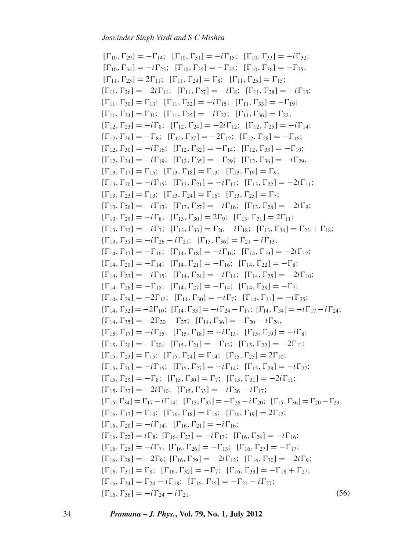$[\Gamma_{10}, \Gamma_{29}] = -\Gamma_{14}; \quad [\Gamma_{10}, \Gamma_{31}] = -i\Gamma_{15}; \quad [\Gamma_{10}, \Gamma_{33}] = -i\Gamma_{32};$  $[\Gamma_{10}, \Gamma_{34}] = -i\Gamma_{25}; \quad [\Gamma_{10}, \Gamma_{35}] = -\Gamma_{32}; \quad [\Gamma_{10}, \Gamma_{36}] = -\Gamma_{25},$  $[\Gamma_{11}, \Gamma_{23}] = 2\Gamma_{11}; \quad [\Gamma_{11}, \Gamma_{24}] = \Gamma_8; \quad [\Gamma_{11}, \Gamma_{25}] = \Gamma_{15};$  $[\Gamma_{11}, \Gamma_{26}] = -2i\Gamma_{11}; \quad [\Gamma_{11}, \Gamma_{27}] = -i\Gamma_8; \quad [\Gamma_{11}, \Gamma_{28}] = -i\Gamma_{13};$  $[\Gamma_{11}, \Gamma_{30}] = \Gamma_{13}; \ [\Gamma_{11}, \Gamma_{32}] = -i\Gamma_{15}; \ [\Gamma_{11}, \Gamma_{33}] = -\Gamma_{19};$  $[\Gamma_{11}, \Gamma_{34}] = \Gamma_{31}; \quad [\Gamma_{11}, \Gamma_{35}] = -i\Gamma_{22}; \quad [\Gamma_{11}, \Gamma_{36}] = \Gamma_{22},$  $[\Gamma_{12}, \Gamma_{23}] = -i\Gamma_8; \ [\Gamma_{12}, \Gamma_{24}] = -2i\Gamma_{12}; \ [\Gamma_{12}, \Gamma_{25}] = -i\Gamma_{14};$  $[\Gamma_{12}, \Gamma_{26}] = -\Gamma_8; \quad [\Gamma_{12}, \Gamma_{27}] = -2\Gamma_{12}; \quad [\Gamma_{12}, \Gamma_{28}] = -\Gamma_{16};$  $[\Gamma_{12}, \Gamma_{30}]=-i\Gamma_{16}; \ [\Gamma_{12}, \Gamma_{32}]=- \Gamma_{14}; \ [\Gamma_{12}, \Gamma_{33}]=- \Gamma_{19};$  $[\Gamma_{12}, \Gamma_{34}]=-i\Gamma_{19}; \ [\Gamma_{12}, \Gamma_{35}]=- \Gamma_{29}; \ [\Gamma_{12}, \Gamma_{36}]=-i\Gamma_{29},$  $[\Gamma_{13},\Gamma_{17}] = \Gamma_{15}; \quad [\Gamma_{13},\Gamma_{18}] = \Gamma_{13}; \quad [\Gamma_{13},\Gamma_{19}] = \Gamma_{9};$  $[\Gamma_{13}, \Gamma_{20}] = -i\Gamma_{15}; \quad [\Gamma_{13}, \Gamma_{21}] = -i\Gamma_{13}; \quad [\Gamma_{13}, \Gamma_{22}] = -2i\Gamma_{11};$  $[\Gamma_{13}, \Gamma_{23}] = \Gamma_{13}; \ [\Gamma_{13}, \Gamma_{24}] = \Gamma_{16}; \ [\Gamma_{13}, \Gamma_{25}] = \Gamma_{7};$  $[\Gamma_{13}, \Gamma_{26}] = -i\Gamma_{13}; \ [\Gamma_{13}, \Gamma_{27}] = -i\Gamma_{16}; \ [\Gamma_{13}, \Gamma_{28}] = -2i\Gamma_9;$  $[\Gamma_{13}, \Gamma_{29}] = -i\Gamma_8; \ [\Gamma_{13}, \Gamma_{30}] = 2\Gamma_9; \ [\Gamma_{13}, \Gamma_{31}] = 2\Gamma_{11};$  $[\Gamma_{13}, \Gamma_{32}] = -i\Gamma_7; \ [\Gamma_{13}, \Gamma_{33}] = \Gamma_{26} - i\Gamma_{18}; \ [\Gamma_{13}, \Gamma_{34}] = \Gamma_{23} + \Gamma_{18};$  $[\Gamma_{13}, \Gamma_{35}] = -i\Gamma_{26} - i\Gamma_{21}; \quad [\Gamma_{13}, \Gamma_{36}] = \Gamma_{21} - i\Gamma_{13},$  $[\Gamma_{14},\Gamma_{17}]=- \Gamma_{16}; \ [\Gamma_{14},\Gamma_{18}]=-i\Gamma_{16}; \ [\Gamma_{14},\Gamma_{19}]=-2i\Gamma_{12};$  $[\Gamma_{14}, \Gamma_{20}]=- \Gamma_{14}; \ [\Gamma_{14}, \Gamma_{21}]=- \Gamma_{16}; \ [\Gamma_{14}, \Gamma_{22}]=- \Gamma_{8};$  $[\Gamma_{14}, \Gamma_{23}] = -i\Gamma_{15}; \quad [\Gamma_{14}, \Gamma_{24}] = -i\Gamma_{14}; \quad [\Gamma_{14}, \Gamma_{25}] = -2i\Gamma_{10};$  $[\Gamma_{14}, \Gamma_{26}]=-\Gamma_{15}; \; [\Gamma_{14}, \Gamma_{27}]=- \Gamma_{14}; \; [\Gamma_{14}, \Gamma_{28}]=- \Gamma_{7};$  $[\Gamma_{14}, \Gamma_{29}] = -2\Gamma_{12}; \ [\Gamma_{14}, \Gamma_{30}] = -i\Gamma_7; \ [\Gamma_{14}, \Gamma_{31}] = -i\Gamma_{25};$  $[\Gamma_{14}, \Gamma_{32}]=-2\Gamma_{10}; \ [\Gamma_{14}, \Gamma_{33}]=-i\Gamma_{24}-\Gamma_{17}; \ [\Gamma_{14}, \Gamma_{34}]=-i\Gamma_{17}-i\Gamma_{24};$  $[\Gamma_{14}, \Gamma_{35}]=-2\Gamma_{20}-\Gamma_{27}; \ [\Gamma_{14}, \Gamma_{36}]=- \Gamma_{20}-i\Gamma_{24},$  $[\Gamma_{15}, \Gamma_{17}] = -i\Gamma_{15}; \quad [\Gamma_{15}, \Gamma_{18}] = -i\Gamma_{13}; \quad [\Gamma_{15}, \Gamma_{19}] = -i\Gamma_{8};$  $[\Gamma_{15}, \Gamma_{20}] = -\Gamma_{20}; \ [\Gamma_{15}, \Gamma_{21}] = -\Gamma_{13}; \ [\Gamma_{15}, \Gamma_{22}] = -2\Gamma_{11};$  $[\Gamma_{15}, \Gamma_{23}] = \Gamma_{15}; \ [\Gamma_{15}, \Gamma_{24}] = \Gamma_{14}; \ [\Gamma_{15}, \Gamma_{25}] = 2\Gamma_{10};$  $[\Gamma_{15}, \Gamma_{26}] = -i\Gamma_{15}; \quad [\Gamma_{15}, \Gamma_{27}] = -i\Gamma_{14}; \quad [\Gamma_{15}, \Gamma_{28}] = -i\Gamma_{27};$  $[\Gamma_{15}, \Gamma_{29}] = -\Gamma_8; \quad [\Gamma_{15}, \Gamma_{30}] = \Gamma_7; \quad [\Gamma_{15}, \Gamma_{31}] = -2i\Gamma_{11};$  $[\Gamma_{15}, \Gamma_{32}] = -2i\Gamma_{10}; \quad [\Gamma_{15}, \Gamma_{33}] = -i\Gamma_{26} - i\Gamma_{17};$  $[\Gamma_{15}, \Gamma_{34}] = \Gamma_{17} - i \Gamma_{14}; \ [\Gamma_{15}, \Gamma_{35}] = -\Gamma_{26} - i \Gamma_{20}; \ [\Gamma_{15}, \Gamma_{36}] = \Gamma_{20} - \Gamma_{23},$  $[\Gamma_{16},\Gamma_{17}] = \Gamma_{14}$ ;  $[\Gamma_{16},\Gamma_{18}] = \Gamma_{16}$ ;  $[\Gamma_{16},\Gamma_{19}] = 2\Gamma_{12}$ ;  $[\Gamma_{16}, \Gamma_{20}] = -i\Gamma_{14}; \quad [\Gamma_{16}, \Gamma_{21}] = -i\Gamma_{16};$  $[\Gamma_{16}, \Gamma_{22}] = i\Gamma_8; [\Gamma_{16}, \Gamma_{23}] = -i\Gamma_{13}; [\Gamma_{16}, \Gamma_{24}] = -i\Gamma_{16};$  $[\Gamma_{16}, \Gamma_{25}] = -i\Gamma_7; [\Gamma_{16}, \Gamma_{26}] = -\Gamma_{13}; [\Gamma_{16}, \Gamma_{27}] = -\Gamma_{17};$  $[\Gamma_{16}, \Gamma_{28}] = -2\Gamma_9; [\Gamma_{16}, \Gamma_{29}] = -2i\Gamma_{12}; [\Gamma_{16}, \Gamma_{30}] = -2i\Gamma_9;$  $[\Gamma_{16}, \Gamma_{31}] = \Gamma_8; \ [\Gamma_{16}, \Gamma_{32}] = -\Gamma_7; \ [\Gamma_{16}, \Gamma_{33}] = -\Gamma_{18} + \Gamma_{27};$  $[\Gamma_{16}, \Gamma_{34}] = \Gamma_{24} - i \Gamma_{18}; \ [\Gamma_{16}, \Gamma_{35}] = -\Gamma_{21} - i \Gamma_{27};$  $[\Gamma_{16}, \Gamma_{36}] = -i\Gamma_{24} - i\Gamma_{21}.$  (56)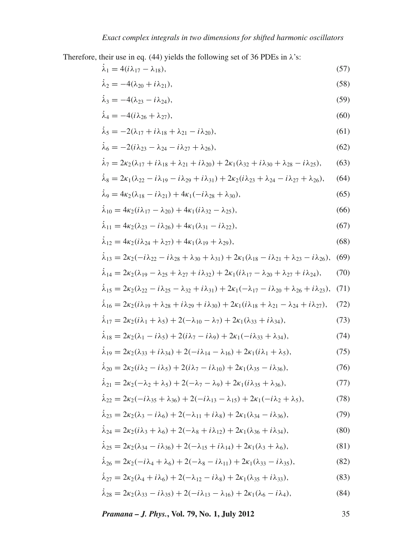Therefore, their use in eq. (44) yields the following set of 36 PDEs in  $\lambda$ 's:

$$
\dot{\lambda}_1 = 4(i\lambda_{17} - \lambda_{18}),\tag{57}
$$

$$
\dot{\lambda}_2 = -4(\lambda_{20} + i\lambda_{21}),\tag{58}
$$

$$
\dot{\lambda}_3 = -4(\lambda_{23} - i\lambda_{24}),\tag{59}
$$

$$
\dot{\lambda}_4 = -4(i\lambda_{26} + \lambda_{27}),\tag{60}
$$

$$
\dot{\lambda}_5 = -2(\lambda_{17} + i\lambda_{18} + \lambda_{21} - i\lambda_{20}),\tag{61}
$$

$$
\dot{\lambda}_6 = -2(i\lambda_{23} - \lambda_{24} - i\lambda_{27} + \lambda_{26}),\tag{62}
$$

$$
\dot{\lambda}_7 = 2\kappa_2(\lambda_{17} + i\lambda_{18} + \lambda_{21} + i\lambda_{20}) + 2\kappa_1(\lambda_{32} + i\lambda_{30} + \lambda_{28} - i\lambda_{25}),
$$
 (63)

$$
\dot{\lambda}_8 = 2\kappa_1(\lambda_{22} - i\lambda_{19} - i\lambda_{29} + i\lambda_{31}) + 2\kappa_2(i\lambda_{23} + \lambda_{24} - i\lambda_{27} + \lambda_{26}),
$$
 (64)

$$
\dot{\lambda}_9 = 4\kappa_2(\lambda_{18} - i\lambda_{21}) + 4\kappa_1(-i\lambda_{28} + \lambda_{30}),\tag{65}
$$

$$
\dot{\lambda}_{10} = 4\kappa_2(i\lambda_{17} - \lambda_{20}) + 4\kappa_1(i\lambda_{32} - \lambda_{25}),
$$
\n(66)

$$
\dot{\lambda}_{11} = 4\kappa_2(\lambda_{23} - i\lambda_{26}) + 4\kappa_1(\lambda_{31} - i\lambda_{22}),\tag{67}
$$

$$
\dot{\lambda}_{12} = 4\kappa_2(i\lambda_{24} + \lambda_{27}) + 4\kappa_1(\lambda_{19} + \lambda_{29}),
$$
\n(68)

$$
\dot{\lambda}_{13} = 2\kappa_2(-i\lambda_{22} - i\lambda_{28} + \lambda_{30} + \lambda_{31}) + 2\kappa_1(\lambda_{18} - i\lambda_{21} + \lambda_{23} - i\lambda_{26}),
$$
 (69)

$$
\dot{\lambda}_{14} = 2\kappa_2(\lambda_{19} - \lambda_{25} + \lambda_{27} + i\lambda_{32}) + 2\kappa_1(i\lambda_{17} - \lambda_{20} + \lambda_{27} + i\lambda_{24}),
$$
 (70)

$$
\dot{\lambda}_{15} = 2\kappa_2(\lambda_{22} - i\lambda_{25} - \lambda_{32} + i\lambda_{31}) + 2\kappa_1(-\lambda_{17} - i\lambda_{20} + \lambda_{26} + i\lambda_{23}), \tag{71}
$$

$$
\dot{\lambda}_{16} = 2\kappa_2(i\lambda_{19} + \lambda_{28} + i\lambda_{29} + i\lambda_{30}) + 2\kappa_1(i\lambda_{18} + \lambda_{21} - \lambda_{24} + i\lambda_{27}),
$$
 (72)

$$
\dot{\lambda}_{17} = 2\kappa_2(i\lambda_1 + \lambda_5) + 2(-\lambda_{10} - \lambda_7) + 2\kappa_1(\lambda_{33} + i\lambda_{34}),\tag{73}
$$

$$
\dot{\lambda}_{18} = 2\kappa_2(\lambda_1 - i\lambda_5) + 2(i\lambda_7 - i\lambda_9) + 2\kappa_1(-i\lambda_{33} + \lambda_{34}),\tag{74}
$$

$$
\dot{\lambda}_{19} = 2\kappa_2(\lambda_{33} + i\lambda_{34}) + 2(-i\lambda_{14} - \lambda_{16}) + 2\kappa_1(i\lambda_1 + \lambda_5),\tag{75}
$$

$$
\dot{\lambda}_{20} = 2\kappa_2(i\lambda_2 - i\lambda_5) + 2(i\lambda_7 - i\lambda_{10}) + 2\kappa_1(\lambda_{35} - i\lambda_{36}),\tag{76}
$$

$$
\dot{\lambda}_{21} = 2\kappa_2(-\lambda_2 + \lambda_5) + 2(-\lambda_7 - \lambda_9) + 2\kappa_1(i\lambda_{35} + \lambda_{36}),\tag{77}
$$

$$
\dot{\lambda}_{22} = 2\kappa_2(-i\lambda_{35} + \lambda_{36}) + 2(-i\lambda_{13} - \lambda_{15}) + 2\kappa_1(-i\lambda_2 + \lambda_5),\tag{78}
$$

$$
\dot{\lambda}_{23} = 2\kappa_2(\lambda_3 - i\lambda_6) + 2(-\lambda_{11} + i\lambda_8) + 2\kappa_1(\lambda_{34} - i\lambda_{36}),\tag{79}
$$

$$
\dot{\lambda}_{24} = 2\kappa_2(i\lambda_3 + \lambda_6) + 2(-\lambda_8 + i\lambda_{12}) + 2\kappa_1(\lambda_{36} + i\lambda_{34}),\tag{80}
$$

$$
\dot{\lambda}_{25} = 2\kappa_2(\lambda_{34} - i\lambda_{36}) + 2(-\lambda_{15} + i\lambda_{14}) + 2\kappa_1(\lambda_3 + \lambda_6),\tag{81}
$$

$$
\dot{\lambda}_{26} = 2\kappa_2(-i\lambda_4 + \lambda_6) + 2(-\lambda_8 - i\lambda_{11}) + 2\kappa_1(\lambda_{33} - i\lambda_{35}),\tag{82}
$$

$$
\dot{\lambda}_{27} = 2\kappa_2(\lambda_4 + i\lambda_6) + 2(-\lambda_{12} - i\lambda_8) + 2\kappa_1(\lambda_{35} + i\lambda_{33}),\tag{83}
$$

$$
\dot{\lambda}_{28} = 2\kappa_2(\lambda_{33} - i\lambda_{35}) + 2(-i\lambda_{13} - \lambda_{16}) + 2\kappa_1(\lambda_6 - i\lambda_4),\tag{84}
$$

*Pramana – J. Phys.***, Vol. 79, No. 1, July 2012** 35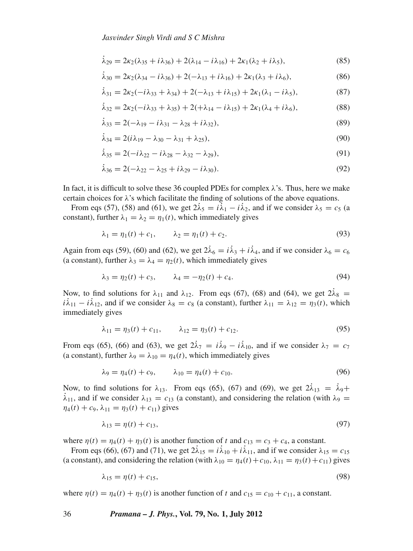$$
\dot{\lambda}_{29} = 2\kappa_2(\lambda_{35} + i\lambda_{36}) + 2(\lambda_{14} - i\lambda_{16}) + 2\kappa_1(\lambda_2 + i\lambda_5),\tag{85}
$$

$$
\dot{\lambda}_{30} = 2\kappa_2(\lambda_{34} - i\lambda_{36}) + 2(-\lambda_{13} + i\lambda_{16}) + 2\kappa_1(\lambda_3 + i\lambda_6),\tag{86}
$$

$$
\dot{\lambda}_{31} = 2\kappa_2(-i\lambda_{33} + \lambda_{34}) + 2(-\lambda_{13} + i\lambda_{15}) + 2\kappa_1(\lambda_1 - i\lambda_5),\tag{87}
$$

$$
\dot{\lambda}_{32} = 2\kappa_2(-i\lambda_{33} + \lambda_{35}) + 2(+\lambda_{14} - i\lambda_{15}) + 2\kappa_1(\lambda_4 + i\lambda_6),\tag{88}
$$

$$
\dot{\lambda}_{33} = 2(-\lambda_{19} - i\lambda_{31} - \lambda_{28} + i\lambda_{32}),\tag{89}
$$

$$
\dot{\lambda}_{34} = 2(i\lambda_{19} - \lambda_{30} - \lambda_{31} + \lambda_{25}),\tag{90}
$$

$$
\dot{\lambda}_{35} = 2(-i\lambda_{22} - i\lambda_{28} - \lambda_{32} - \lambda_{29}),\tag{91}
$$

$$
\dot{\lambda}_{36} = 2(-\lambda_{22} - \lambda_{25} + i\lambda_{29} - i\lambda_{30}).
$$
\n(92)

In fact, it is difficult to solve these 36 coupled PDEs for complex  $\lambda$ 's. Thus, here we make certain choices for  $\lambda$ 's which facilitate the finding of solutions of the above equations.

From eqs (57), (58) and (61), we get  $2\lambda_5 = i\lambda_1 - i\lambda_2$ , and if we consider  $\lambda_5 = c_5$  (a constant), further  $\lambda_1 = \lambda_2 = \eta_1(t)$ , which immediately gives

$$
\lambda_1 = \eta_1(t) + c_1, \qquad \lambda_2 = \eta_1(t) + c_2. \tag{93}
$$

Again from eqs (59), (60) and (62), we get  $2\lambda_6 = i\lambda_3 + i\lambda_4$ , and if we consider  $\lambda_6 = c_6$ (a constant), further  $\lambda_3 = \lambda_4 = \eta_2(t)$ , which immediately gives

$$
\lambda_3 = \eta_2(t) + c_3, \qquad \lambda_4 = -\eta_2(t) + c_4. \tag{94}
$$

Now, to find solutions for  $\lambda_{11}$  and  $\lambda_{12}$ . From eqs (67), (68) and (64), we get  $2\lambda_8 =$  $i\lambda_{11} - i\lambda_{12}$ , and if we consider  $\lambda_8 = c_8$  (a constant), further  $\lambda_{11} = \lambda_{12} = \eta_3(t)$ , which immediately gives

$$
\lambda_{11} = \eta_3(t) + c_{11}, \qquad \lambda_{12} = \eta_3(t) + c_{12}.
$$
 (95)

From eqs (65), (66) and (63), we get  $2\lambda_7 = i\lambda_9 - i\lambda_{10}$ , and if we consider  $\lambda_7 = c_7$ (a constant), further  $\lambda_9 = \lambda_{10} = \eta_4(t)$ , which immediately gives

$$
\lambda_9 = \eta_4(t) + c_9, \qquad \lambda_{10} = \eta_4(t) + c_{10}. \tag{96}
$$

Now, to find solutions for  $\lambda_{13}$ . From eqs (65), (67) and (69), we get  $2\lambda_{13} = \lambda_9 + \lambda_1$  $\lambda_{11}$ , and if we consider  $\lambda_{13} = c_{13}$  (a constant), and considering the relation (with  $\lambda_9 = c_{13}$  $\eta_4(t) + c_9$ ,  $\lambda_{11} = \eta_3(t) + c_{11}$ ) gives

$$
\lambda_{13} = \eta(t) + c_{13},\tag{97}
$$

where  $\eta(t) = \eta_4(t) + \eta_3(t)$  is another function of t and  $c_{13} = c_3 + c_4$ , a constant.

From eqs (66), (67) and (71), we get  $2\lambda_{15} = i\lambda_{10} + i\lambda_{11}$ , and if we consider  $\lambda_{15} = c_{15}$ (a constant), and considering the relation (with  $\lambda_{10} = \eta_4(t) + c_{10}$ ,  $\lambda_{11} = \eta_3(t) + c_{11}$ ) gives

$$
\lambda_{15} = \eta(t) + c_{15},\tag{98}
$$

where  $\eta(t) = \eta_4(t) + \eta_3(t)$  is another function of t and  $c_{15} = c_{10} + c_{11}$ , a constant.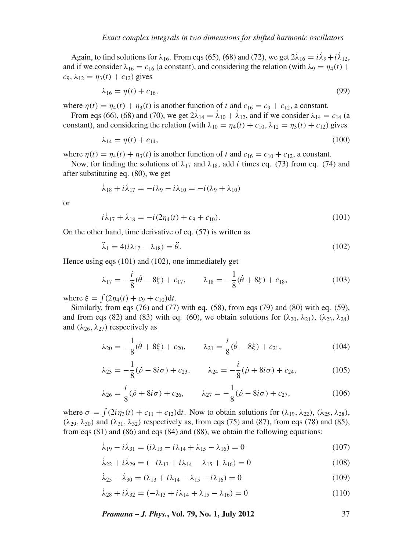Again, to find solutions for  $\lambda_{16}$ . From eqs (65), (68) and (72), we get  $2\lambda_{16} = i\lambda_9 + i\lambda_{12}$ , and if we consider  $\lambda_{16} = c_{16}$  (a constant), and considering the relation (with  $\lambda_9 = \eta_4(t)$  +  $c_9, \lambda_{12} = \eta_3(t) + c_{12}$ ) gives

$$
\lambda_{16} = \eta(t) + c_{16},\tag{99}
$$

where  $\eta(t) = \eta_4(t) + \eta_3(t)$  is another function of t and  $c_{16} = c_9 + c_{12}$ , a constant.

From eqs (66), (68) and (70), we get  $2\lambda_{14} = \lambda_{10} + \lambda_{12}$ , and if we consider  $\lambda_{14} = c_{14}$  (a constant), and considering the relation (with  $\lambda_{10} = \eta_4(t) + c_{10}$ ,  $\lambda_{12} = \eta_3(t) + c_{12}$ ) gives

$$
\lambda_{14} = \eta(t) + c_{14},\tag{100}
$$

where  $\eta(t) = \eta_4(t) + \eta_3(t)$  is another function of t and  $c_{16} = c_{10} + c_{12}$ , a constant.

Now, for finding the solutions of  $\lambda_{17}$  and  $\lambda_{18}$ , add *i* times eq. (73) from eq. (74) and after substituting eq. (80), we get

$$
\dot{\lambda}_{18} + i\dot{\lambda}_{17} = -i\lambda_9 - i\lambda_{10} = -i(\lambda_9 + \lambda_{10})
$$

or

$$
i\dot{\lambda}_{17} + \dot{\lambda}_{18} = -i(2\eta_4(t) + c_9 + c_{10}).
$$
\n(101)

On the other hand, time derivative of eq. (57) is written as

$$
\ddot{\lambda}_1 = 4(i\lambda_{17} - \lambda_{18}) = \ddot{\theta}.\tag{102}
$$

Hence using eqs (101) and (102), one immediately get

$$
\lambda_{17} = -\frac{i}{8}(\dot{\theta} - 8\xi) + c_{17}, \qquad \lambda_{18} = -\frac{1}{8}(\dot{\theta} + 8\xi) + c_{18}, \tag{103}
$$

where  $\xi = \int (2\eta_4(t) + c_9 + c_{10}) dt$ .

Similarly, from eqs (76) and (77) with eq. (58), from eqs (79) and (80) with eq. (59), and from eqs (82) and (83) with eq. (60), we obtain solutions for  $(\lambda_{20}, \lambda_{21})$ ,  $(\lambda_{23}, \lambda_{24})$ and  $(\lambda_{26}, \lambda_{27})$  respectively as

$$
\lambda_{20} = -\frac{1}{8}(\dot{\theta} + 8\xi) + c_{20}, \qquad \lambda_{21} = \frac{i}{8}(\dot{\theta} - 8\xi) + c_{21}, \tag{104}
$$

$$
\lambda_{23} = -\frac{1}{8}(\dot{\rho} - 8i\sigma) + c_{23}, \qquad \lambda_{24} = -\frac{i}{8}(\dot{\rho} + 8i\sigma) + c_{24}, \tag{105}
$$

$$
\lambda_{26} = \frac{i}{8}(\dot{\rho} + 8i\sigma) + c_{26}, \qquad \lambda_{27} = -\frac{1}{8}(\dot{\rho} - 8i\sigma) + c_{27}, \tag{106}
$$

where  $\sigma = \int (2i\eta_3(t) + c_{11} + c_{12})dt$ . Now to obtain solutions for  $(\lambda_{19}, \lambda_{22})$ ,  $(\lambda_{25}, \lambda_{28})$ ,  $(\lambda_{29}, \lambda_{30})$  and  $(\lambda_{31}, \lambda_{32})$  respectively as, from eqs (75) and (87), from eqs (78) and (85), from eqs (81) and (86) and eqs (84) and (88), we obtain the following equations:

$$
\dot{\lambda}_{19} - i \dot{\lambda}_{31} = (i \lambda_{13} - i \lambda_{14} + \lambda_{15} - \lambda_{16}) = 0 \tag{107}
$$

$$
\dot{\lambda}_{22} + i \dot{\lambda}_{29} = (-i\lambda_{13} + i\lambda_{14} - \lambda_{15} + \lambda_{16}) = 0
$$
\n(108)

$$
\dot{\lambda}_{25} - \dot{\lambda}_{30} = (\lambda_{13} + i\lambda_{14} - \lambda_{15} - i\lambda_{16}) = 0
$$
\n(109)

$$
\dot{\lambda}_{28} + i \dot{\lambda}_{32} = (-\lambda_{13} + i \lambda_{14} + \lambda_{15} - \lambda_{16}) = 0
$$
\n(110)

*Pramana – J. Phys.***, Vol. 79, No. 1, July 2012** 37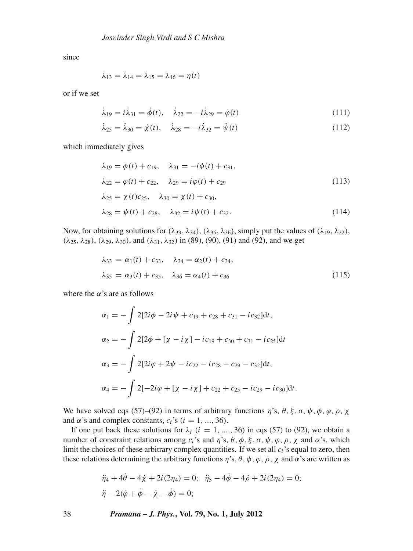since

$$
\lambda_{13}=\lambda_{14}=\lambda_{15}=\lambda_{16}=\eta(t)
$$

or if we set

$$
\dot{\lambda}_{19} = i\dot{\lambda}_{31} = \dot{\phi}(t), \quad \dot{\lambda}_{22} = -i\dot{\lambda}_{29} = \dot{\phi}(t) \tag{111}
$$

$$
\dot{\lambda}_{25} = \dot{\lambda}_{30} = \dot{\chi}(t), \quad \dot{\lambda}_{28} = -i\dot{\lambda}_{32} = \dot{\psi}(t) \tag{112}
$$

which immediately gives

$$
\lambda_{19} = \phi(t) + c_{19}, \quad \lambda_{31} = -i\phi(t) + c_{31},
$$
  
\n
$$
\lambda_{22} = \phi(t) + c_{22}, \quad \lambda_{29} = i\phi(t) + c_{29}
$$
  
\n
$$
\lambda_{25} = \chi(t)c_{25}, \quad \lambda_{30} = \chi(t) + c_{30},
$$
  
\n
$$
\lambda_{28} = \psi(t) + c_{28}, \quad \lambda_{32} = i\psi(t) + c_{32}.
$$
\n(114)

Now, for obtaining solutions for  $(\lambda_{33}, \lambda_{34})$ ,  $(\lambda_{35}, \lambda_{36})$ , simply put the values of  $(\lambda_{19}, \lambda_{22})$ ,  $(\lambda_{25}, \lambda_{28})$ ,  $(\lambda_{29}, \lambda_{30})$ , and  $(\lambda_{31}, \lambda_{32})$  in (89), (90), (91) and (92), and we get

$$
\lambda_{33} = \alpha_1(t) + c_{33}, \quad \lambda_{34} = \alpha_2(t) + c_{34}, \n\lambda_{35} = \alpha_3(t) + c_{35}, \quad \lambda_{36} = \alpha_4(t) + c_{36}
$$
\n(115)

where the  $\alpha$ 's are as follows

$$
\alpha_1 = -\int 2[2i\phi - 2i\psi + c_{19} + c_{28} + c_{31} - ic_{32}]dt,
$$
  
\n
$$
\alpha_2 = -\int 2[2\phi + [\chi - i\chi] - ic_{19} + c_{30} + c_{31} - ic_{25}]dt
$$
  
\n
$$
\alpha_3 = -\int 2[2i\phi + 2\psi - ic_{22} - ic_{28} - c_{29} - c_{32}]dt,
$$
  
\n
$$
\alpha_4 = -\int 2[-2i\phi + [\chi - i\chi] + c_{22} + c_{25} - ic_{29} - ic_{30}]dt.
$$

We have solved eqs (57)–(92) in terms of arbitrary functions  $\eta$ 's,  $\theta$ ,  $\xi$ ,  $\sigma$ ,  $\psi$ ,  $\phi$ ,  $\varphi$ ,  $\rho$ ,  $\chi$ and  $\alpha$ 's and complex constants,  $c_i$ 's ( $i = 1, ..., 36$ ).

If one put back these solutions for  $\lambda_i$  ( $i = 1, ..., 36$ ) in eqs (57) to (92), we obtain a number of constraint relations among  $c_i$ 's and  $\eta$ 's,  $\theta$ ,  $\phi$ ,  $\xi$ ,  $\sigma$ ,  $\psi$ ,  $\varphi$ ,  $\rho$ ,  $\chi$  and  $\alpha$ 's, which limit the choices of these arbitrary complex quantities. If we set all  $c_i$ 's equal to zero, then these relations determining the arbitrary functions  $\eta$ 's,  $\theta$ ,  $\phi$ ,  $\varphi$ ,  $\rho$ ,  $\chi$  and  $\alpha$ 's are written as

$$
\ddot{\eta}_4 + 4\dot{\theta} - 4\dot{\chi} + 2i(2\eta_4) = 0; \quad \ddot{\eta}_3 - 4\dot{\phi} - 4\dot{\rho} + 2i(2\eta_4) = 0; \n\ddot{\eta} - 2(\dot{\phi} + \dot{\phi} - \dot{\chi} - \dot{\phi}) = 0;
$$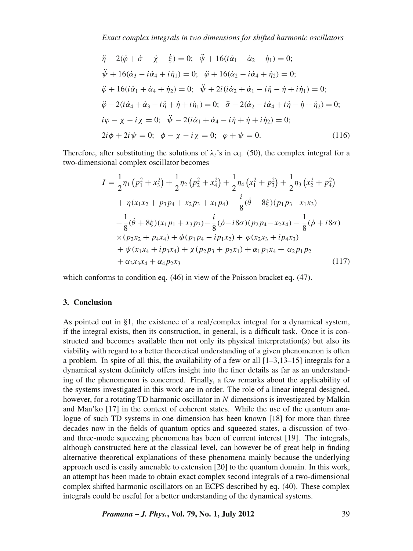$$
\ddot{\eta} - 2(\dot{\varphi} + \dot{\sigma} - \dot{\chi} - \dot{\xi}) = 0; \quad \ddot{\psi} + 16(i\dot{\alpha}_1 - \dot{\alpha}_2 - \dot{\eta}_1) = 0; \n\ddot{\psi} + 16(\dot{\alpha}_3 - i\dot{\alpha}_4 + i\dot{\eta}_1) = 0; \quad \ddot{\varphi} + 16(\dot{\alpha}_2 - i\dot{\alpha}_4 + \dot{\eta}_2) = 0; \n\ddot{\varphi} + 16(i\dot{\alpha}_1 + \dot{\alpha}_4 + \dot{\eta}_2) = 0; \quad \ddot{\psi} + 2i(i\dot{\alpha}_2 + \dot{\alpha}_1 - i\dot{\eta} - \dot{\eta} + i\dot{\eta}_1) = 0; \n\ddot{\varphi} - 2(i\dot{\alpha}_4 + \dot{\alpha}_3 - i\dot{\eta} + \dot{\eta} + i\dot{\eta}_1) = 0; \quad \ddot{\sigma} - 2(\dot{\alpha}_2 - i\dot{\alpha}_4 + i\dot{\eta} - \dot{\eta} + \dot{\eta}_2) = 0; \n\dot{\varphi} - \chi - i\chi = 0; \quad \ddot{\psi} - 2(i\dot{\alpha}_1 + \dot{\alpha}_4 - i\dot{\eta} + \dot{\eta} + i\dot{\eta}_2) = 0; \n2i\phi + 2i\psi = 0; \quad \phi - \chi - i\chi = 0; \quad \phi + \psi = 0.
$$
\n(116)

Therefore, after substituting the solutions of  $\lambda_i$ 's in eq. (50), the complex integral for a two-dimensional complex oscillator becomes

$$
I = \frac{1}{2}\eta_1 (p_1^2 + x_3^2) + \frac{1}{2}\eta_2 (p_2^2 + x_4^2) + \frac{1}{2}\eta_4 (x_1^2 + p_3^2) + \frac{1}{2}\eta_3 (x_2^2 + p_4^2)
$$
  
+  $\eta(x_1x_2 + p_3p_4 + x_2p_3 + x_1p_4) - \frac{i}{8}(\dot{\theta} - 8\xi)(p_1p_3 - x_1x_3)$   
-  $\frac{1}{8}(\dot{\theta} + 8\xi)(x_1p_1 + x_3p_3) - \frac{i}{8}(\dot{\phi} - i8\sigma)(p_2p_4 - x_2x_4) - \frac{1}{8}(\dot{\phi} + i8\sigma)$   
×  $(p_2x_2 + p_4x_4) + \phi(p_1p_4 - ip_1x_2) + \varphi(x_2x_3 + ip_4x_3)$   
+  $\psi(x_1x_4 + ip_3x_4) + \chi(p_2p_3 + p_2x_1) + \alpha_1p_1x_4 + \alpha_2p_1p_2$   
+  $\alpha_3x_3x_4 + \alpha_4p_2x_3$  (117)

which conforms to condition eq. (46) in view of the Poisson bracket eq. (47).

## **3. Conclusion**

As pointed out in §1, the existence of a real/complex integral for a dynamical system, if the integral exists, then its construction, in general, is a difficult task. Once it is constructed and becomes available then not only its physical interpretation(s) but also its viability with regard to a better theoretical understanding of a given phenomenon is often a problem. In spite of all this, the availability of a few or all [1–3,13–15] integrals for a dynamical system definitely offers insight into the finer details as far as an understanding of the phenomenon is concerned. Finally, a few remarks about the applicability of the systems investigated in this work are in order. The role of a linear integral designed, however, for a rotating TD harmonic oscillator in *N* dimensions is investigated by Malkin and Man'ko [17] in the context of coherent states. While the use of the quantum analogue of such TD systems in one dimension has been known [18] for more than three decades now in the fields of quantum optics and squeezed states, a discussion of twoand three-mode squeezing phenomena has been of current interest [19]. The integrals, although constructed here at the classical level, can however be of great help in finding alternative theoretical explanations of these phenomena mainly because the underlying approach used is easily amenable to extension [20] to the quantum domain. In this work, an attempt has been made to obtain exact complex second integrals of a two-dimensional complex shifted harmonic oscillators on an ECPS described by eq. (40). These complex integrals could be useful for a better understanding of the dynamical systems.